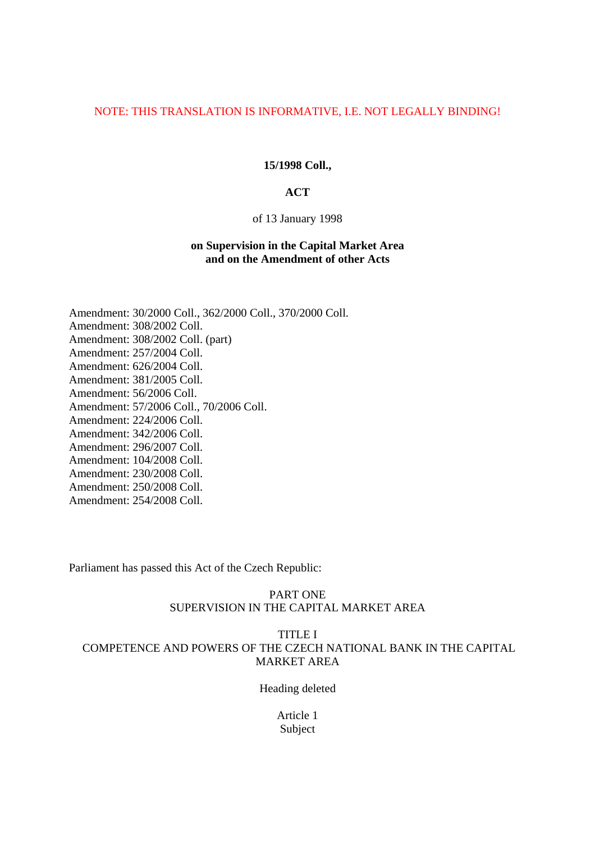# NOTE: THIS TRANSLATION IS INFORMATIVE, I.E. NOT LEGALLY BINDING!

#### **15/1998 Coll.,**

### **ACT**

#### of 13 January 1998

# **on Supervision in the Capital Market Area and on the Amendment of other Acts**

Amendment: 30/2000 Coll., 362/2000 Coll., 370/2000 Coll. Amendment: 308/2002 Coll. Amendment: 308/2002 Coll. (part) Amendment: 257/2004 Coll. Amendment: 626/2004 Coll. Amendment: 381/2005 Coll. Amendment: 56/2006 Coll. Amendment: 57/2006 Coll., 70/2006 Coll. Amendment: 224/2006 Coll. Amendment: 342/2006 Coll. Amendment: 296/2007 Coll. Amendment: 104/2008 Coll. Amendment: 230/2008 Coll. Amendment: 250/2008 Coll. Amendment: 254/2008 Coll.

Parliament has passed this Act of the Czech Republic:

### PART ONE SUPERVISION IN THE CAPITAL MARKET AREA

# TITLE I COMPETENCE AND POWERS OF THE CZECH NATIONAL BANK IN THE CAPITAL MARKET AREA

Heading deleted

Article 1 Subject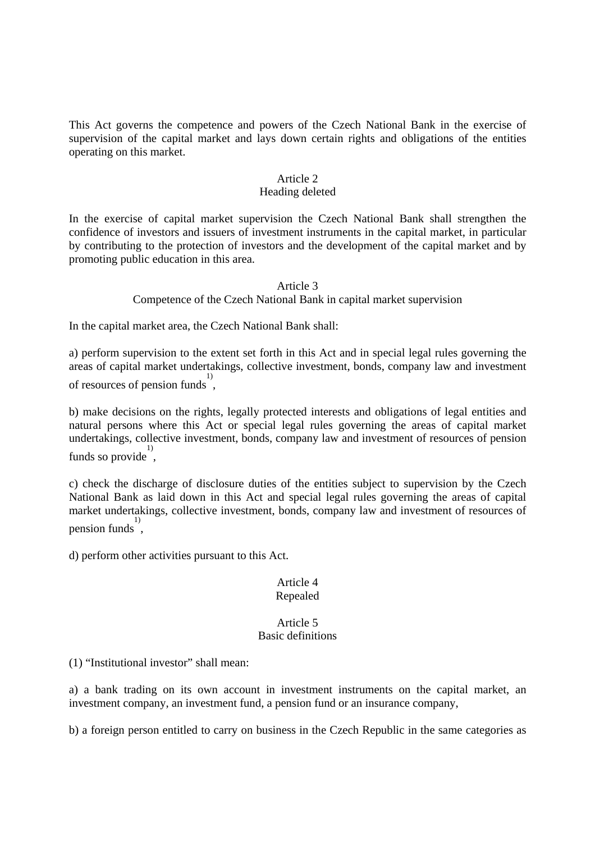This Act governs the competence and powers of the Czech National Bank in the exercise of supervision of the capital market and lays down certain rights and obligations of the entities operating on this market.

### Article 2

# Heading deleted

In the exercise of capital market supervision the Czech National Bank shall strengthen the confidence of investors and issuers of investment instruments in the capital market, in particular by contributing to the protection of investors and the development of the capital market and by promoting public education in this area.

> Article 3 Competence of the Czech National Bank in capital market supervision

In the capital market area, the Czech National Bank shall:

a) perform supervision to the extent set forth in this Act and in special legal rules governing the areas of capital market undertakings, collective investment, bonds, company law and investment of resources of pension funds 1) ,

b) make decisions on the rights, legally protected interests and obligations of legal entities and natural persons where this Act or special legal rules governing the areas of capital market undertakings, collective investment, bonds, company law and investment of resources of pension funds so provide,

c) check the discharge of disclosure duties of the entities subject to supervision by the Czech National Bank as laid down in this Act and special legal rules governing the areas of capital market undertakings, collective investment, bonds, company law and investment of resources of pension funds 1) ,

d) perform other activities pursuant to this Act.

# Article 4 Repealed

### Article 5 Basic definitions

(1) "Institutional investor" shall mean:

a) a bank trading on its own account in investment instruments on the capital market, an investment company, an investment fund, a pension fund or an insurance company,

b) a foreign person entitled to carry on business in the Czech Republic in the same categories as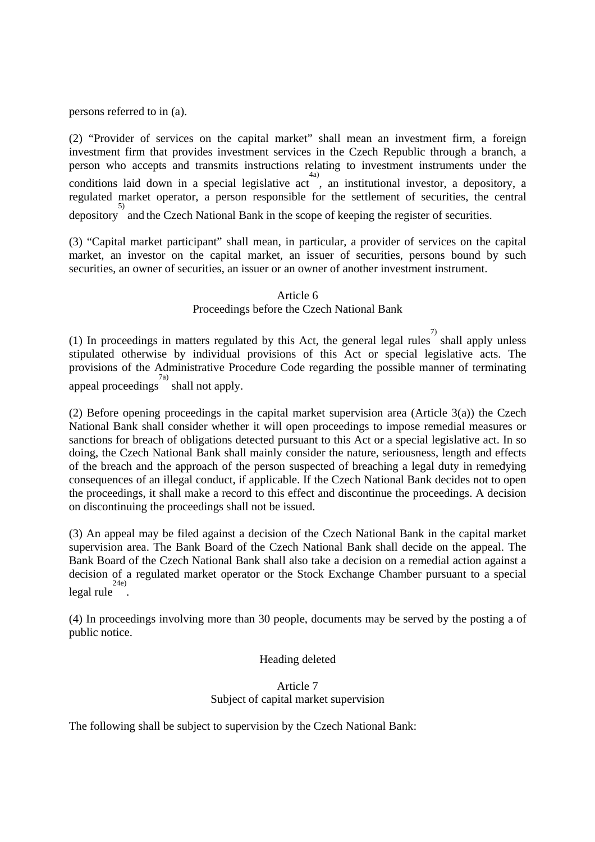persons referred to in (a).

(2) "Provider of services on the capital market" shall mean an investment firm, a foreign investment firm that provides investment services in the Czech Republic through a branch, a person who accepts and transmits instructions relating to investment instruments under the conditions laid down in a special legislative act, an institutional investor, a depository, a regulated market operator, a person responsible for the settlement of securities, the central <sup>5)</sup><br>depository and the Czech National Bank in the scope of keeping the register of securities.

(3) "Capital market participant" shall mean, in particular, a provider of services on the capital market, an investor on the capital market, an issuer of securities, persons bound by such securities, an owner of securities, an issuer or an owner of another investment instrument.

### Article 6 Proceedings before the Czech National Bank

(1) In proceedings in matters regulated by this Act, the general legal rules  $\frac{7}{2}$  shall apply unless stipulated otherwise by individual provisions of this Act or special legislative acts. The provisions of the Administrative Procedure Code regarding the possible manner of terminating appeal proceedings shall not apply.

(2) Before opening proceedings in the capital market supervision area (Article 3(a)) the Czech National Bank shall consider whether it will open proceedings to impose remedial measures or sanctions for breach of obligations detected pursuant to this Act or a special legislative act. In so doing, the Czech National Bank shall mainly consider the nature, seriousness, length and effects of the breach and the approach of the person suspected of breaching a legal duty in remedying consequences of an illegal conduct, if applicable. If the Czech National Bank decides not to open the proceedings, it shall make a record to this effect and discontinue the proceedings. A decision on discontinuing the proceedings shall not be issued.

(3) An appeal may be filed against a decision of the Czech National Bank in the capital market supervision area. The Bank Board of the Czech National Bank shall decide on the appeal. The Bank Board of the Czech National Bank shall also take a decision on a remedial action against a decision of a regulated market operator or the Stock Exchange Chamber pursuant to a special legal rule 24e) .

(4) In proceedings involving more than 30 people, documents may be served by the posting a of public notice.

#### Heading deleted

# Article 7 Subject of capital market supervision

The following shall be subject to supervision by the Czech National Bank: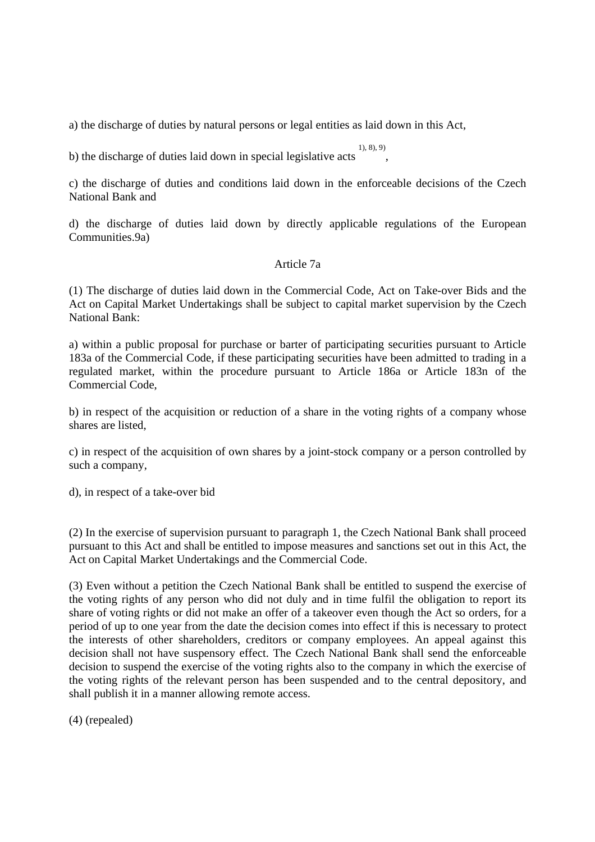a) the discharge of duties by natural persons or legal entities as laid down in this Act,

b) the discharge of duties laid down in special legislative acts 1), 8), 9) ,

c) the discharge of duties and conditions laid down in the enforceable decisions of the Czech National Bank and

d) the discharge of duties laid down by directly applicable regulations of the European Communities.9a)

# Article 7a

(1) The discharge of duties laid down in the Commercial Code, Act on Take-over Bids and the Act on Capital Market Undertakings shall be subject to capital market supervision by the Czech National Bank:

a) within a public proposal for purchase or barter of participating securities pursuant to Article 183a of the Commercial Code, if these participating securities have been admitted to trading in a regulated market, within the procedure pursuant to Article 186a or Article 183n of the Commercial Code,

b) in respect of the acquisition or reduction of a share in the voting rights of a company whose shares are listed,

c) in respect of the acquisition of own shares by a joint-stock company or a person controlled by such a company,

d), in respect of a take-over bid

(2) In the exercise of supervision pursuant to paragraph 1, the Czech National Bank shall proceed pursuant to this Act and shall be entitled to impose measures and sanctions set out in this Act, the Act on Capital Market Undertakings and the Commercial Code.

(3) Even without a petition the Czech National Bank shall be entitled to suspend the exercise of the voting rights of any person who did not duly and in time fulfil the obligation to report its share of voting rights or did not make an offer of a takeover even though the Act so orders, for a period of up to one year from the date the decision comes into effect if this is necessary to protect the interests of other shareholders, creditors or company employees. An appeal against this decision shall not have suspensory effect. The Czech National Bank shall send the enforceable decision to suspend the exercise of the voting rights also to the company in which the exercise of the voting rights of the relevant person has been suspended and to the central depository, and shall publish it in a manner allowing remote access.

(4) (repealed)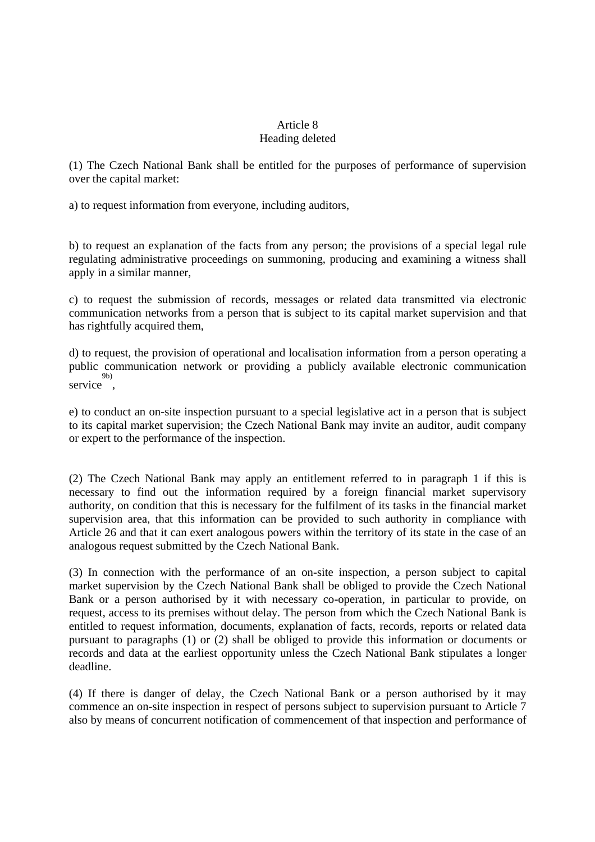# Article 8 Heading deleted

(1) The Czech National Bank shall be entitled for the purposes of performance of supervision over the capital market:

a) to request information from everyone, including auditors,

b) to request an explanation of the facts from any person; the provisions of a special legal rule regulating administrative proceedings on summoning, producing and examining a witness shall apply in a similar manner,

c) to request the submission of records, messages or related data transmitted via electronic communication networks from a person that is subject to its capital market supervision and that has rightfully acquired them,

d) to request, the provision of operational and localisation information from a person operating a public communication network or providing a publicly available electronic communication service<sup>9b)</sup>,

e) to conduct an on-site inspection pursuant to a special legislative act in a person that is subject to its capital market supervision; the Czech National Bank may invite an auditor, audit company or expert to the performance of the inspection.

(2) The Czech National Bank may apply an entitlement referred to in paragraph 1 if this is necessary to find out the information required by a foreign financial market supervisory authority, on condition that this is necessary for the fulfilment of its tasks in the financial market supervision area, that this information can be provided to such authority in compliance with Article 26 and that it can exert analogous powers within the territory of its state in the case of an analogous request submitted by the Czech National Bank.

(3) In connection with the performance of an on-site inspection, a person subject to capital market supervision by the Czech National Bank shall be obliged to provide the Czech National Bank or a person authorised by it with necessary co-operation, in particular to provide, on request, access to its premises without delay. The person from which the Czech National Bank is entitled to request information, documents, explanation of facts, records, reports or related data pursuant to paragraphs (1) or (2) shall be obliged to provide this information or documents or records and data at the earliest opportunity unless the Czech National Bank stipulates a longer deadline.

(4) If there is danger of delay, the Czech National Bank or a person authorised by it may commence an on-site inspection in respect of persons subject to supervision pursuant to Article 7 also by means of concurrent notification of commencement of that inspection and performance of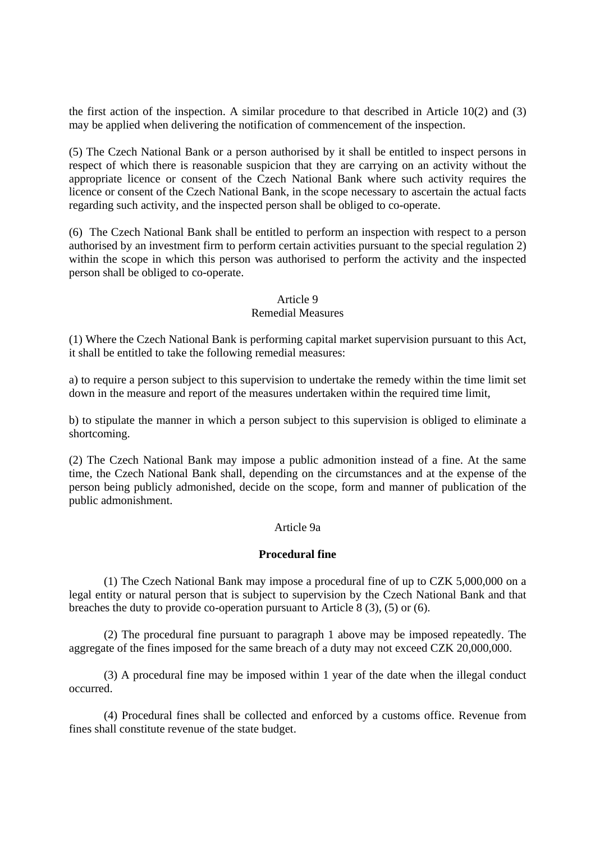the first action of the inspection. A similar procedure to that described in Article 10(2) and (3) may be applied when delivering the notification of commencement of the inspection.

(5) The Czech National Bank or a person authorised by it shall be entitled to inspect persons in respect of which there is reasonable suspicion that they are carrying on an activity without the appropriate licence or consent of the Czech National Bank where such activity requires the licence or consent of the Czech National Bank, in the scope necessary to ascertain the actual facts regarding such activity, and the inspected person shall be obliged to co-operate.

(6) The Czech National Bank shall be entitled to perform an inspection with respect to a person authorised by an investment firm to perform certain activities pursuant to the special regulation 2) within the scope in which this person was authorised to perform the activity and the inspected person shall be obliged to co-operate.

# Article 9

# Remedial Measures

(1) Where the Czech National Bank is performing capital market supervision pursuant to this Act, it shall be entitled to take the following remedial measures:

a) to require a person subject to this supervision to undertake the remedy within the time limit set down in the measure and report of the measures undertaken within the required time limit,

b) to stipulate the manner in which a person subject to this supervision is obliged to eliminate a shortcoming.

(2) The Czech National Bank may impose a public admonition instead of a fine. At the same time, the Czech National Bank shall, depending on the circumstances and at the expense of the person being publicly admonished, decide on the scope, form and manner of publication of the public admonishment.

#### Article 9a

### **Procedural fine**

 (1) The Czech National Bank may impose a procedural fine of up to CZK 5,000,000 on a legal entity or natural person that is subject to supervision by the Czech National Bank and that breaches the duty to provide co-operation pursuant to Article 8 (3), (5) or (6).

 (2) The procedural fine pursuant to paragraph 1 above may be imposed repeatedly. The aggregate of the fines imposed for the same breach of a duty may not exceed CZK 20,000,000.

 (3) A procedural fine may be imposed within 1 year of the date when the illegal conduct occurred.

 (4) Procedural fines shall be collected and enforced by a customs office. Revenue from fines shall constitute revenue of the state budget.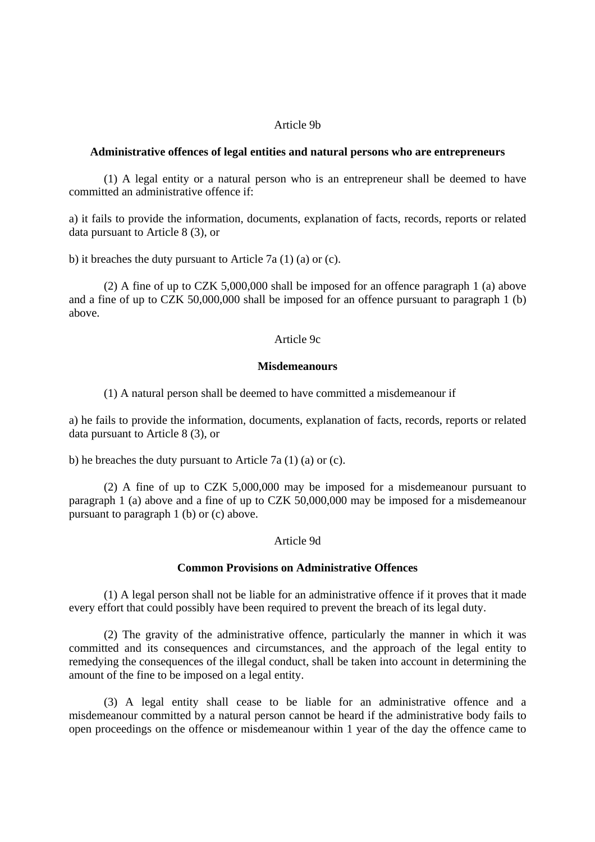#### Article 9b

#### **Administrative offences of legal entities and natural persons who are entrepreneurs**

 (1) A legal entity or a natural person who is an entrepreneur shall be deemed to have committed an administrative offence if:

a) it fails to provide the information, documents, explanation of facts, records, reports or related data pursuant to Article 8 (3), or

b) it breaches the duty pursuant to Article 7a (1) (a) or (c).

 (2) A fine of up to CZK 5,000,000 shall be imposed for an offence paragraph 1 (a) above and a fine of up to CZK 50,000,000 shall be imposed for an offence pursuant to paragraph 1 (b) above.

#### Article 9c

#### **Misdemeanours**

(1) A natural person shall be deemed to have committed a misdemeanour if

a) he fails to provide the information, documents, explanation of facts, records, reports or related data pursuant to Article 8 (3), or

b) he breaches the duty pursuant to Article 7a (1) (a) or (c).

 (2) A fine of up to CZK 5,000,000 may be imposed for a misdemeanour pursuant to paragraph 1 (a) above and a fine of up to CZK 50,000,000 may be imposed for a misdemeanour pursuant to paragraph 1 (b) or (c) above.

#### Article 9d

#### **Common Provisions on Administrative Offences**

 (1) A legal person shall not be liable for an administrative offence if it proves that it made every effort that could possibly have been required to prevent the breach of its legal duty.

 (2) The gravity of the administrative offence, particularly the manner in which it was committed and its consequences and circumstances, and the approach of the legal entity to remedying the consequences of the illegal conduct, shall be taken into account in determining the amount of the fine to be imposed on a legal entity.

 (3) A legal entity shall cease to be liable for an administrative offence and a misdemeanour committed by a natural person cannot be heard if the administrative body fails to open proceedings on the offence or misdemeanour within 1 year of the day the offence came to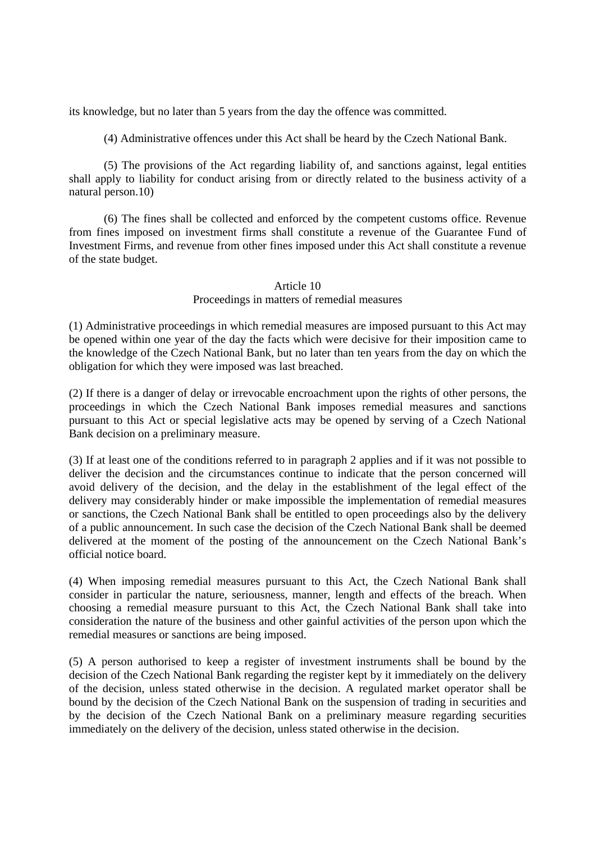its knowledge, but no later than 5 years from the day the offence was committed.

(4) Administrative offences under this Act shall be heard by the Czech National Bank.

 (5) The provisions of the Act regarding liability of, and sanctions against, legal entities shall apply to liability for conduct arising from or directly related to the business activity of a natural person.10)

 (6) The fines shall be collected and enforced by the competent customs office. Revenue from fines imposed on investment firms shall constitute a revenue of the Guarantee Fund of Investment Firms, and revenue from other fines imposed under this Act shall constitute a revenue of the state budget.

#### Article 10 Proceedings in matters of remedial measures

(1) Administrative proceedings in which remedial measures are imposed pursuant to this Act may be opened within one year of the day the facts which were decisive for their imposition came to the knowledge of the Czech National Bank, but no later than ten years from the day on which the obligation for which they were imposed was last breached.

(2) If there is a danger of delay or irrevocable encroachment upon the rights of other persons, the proceedings in which the Czech National Bank imposes remedial measures and sanctions pursuant to this Act or special legislative acts may be opened by serving of a Czech National Bank decision on a preliminary measure.

(3) If at least one of the conditions referred to in paragraph 2 applies and if it was not possible to deliver the decision and the circumstances continue to indicate that the person concerned will avoid delivery of the decision, and the delay in the establishment of the legal effect of the delivery may considerably hinder or make impossible the implementation of remedial measures or sanctions, the Czech National Bank shall be entitled to open proceedings also by the delivery of a public announcement. In such case the decision of the Czech National Bank shall be deemed delivered at the moment of the posting of the announcement on the Czech National Bank's official notice board.

(4) When imposing remedial measures pursuant to this Act, the Czech National Bank shall consider in particular the nature, seriousness, manner, length and effects of the breach. When choosing a remedial measure pursuant to this Act, the Czech National Bank shall take into consideration the nature of the business and other gainful activities of the person upon which the remedial measures or sanctions are being imposed.

(5) A person authorised to keep a register of investment instruments shall be bound by the decision of the Czech National Bank regarding the register kept by it immediately on the delivery of the decision, unless stated otherwise in the decision. A regulated market operator shall be bound by the decision of the Czech National Bank on the suspension of trading in securities and by the decision of the Czech National Bank on a preliminary measure regarding securities immediately on the delivery of the decision, unless stated otherwise in the decision.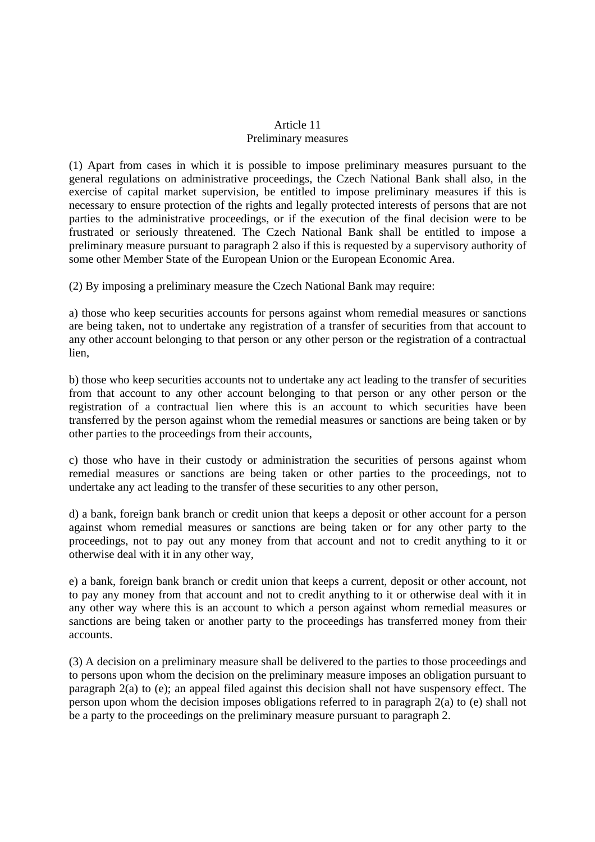# Article 11 Preliminary measures

(1) Apart from cases in which it is possible to impose preliminary measures pursuant to the general regulations on administrative proceedings, the Czech National Bank shall also, in the exercise of capital market supervision, be entitled to impose preliminary measures if this is necessary to ensure protection of the rights and legally protected interests of persons that are not parties to the administrative proceedings, or if the execution of the final decision were to be frustrated or seriously threatened. The Czech National Bank shall be entitled to impose a preliminary measure pursuant to paragraph 2 also if this is requested by a supervisory authority of some other Member State of the European Union or the European Economic Area.

(2) By imposing a preliminary measure the Czech National Bank may require:

a) those who keep securities accounts for persons against whom remedial measures or sanctions are being taken, not to undertake any registration of a transfer of securities from that account to any other account belonging to that person or any other person or the registration of a contractual lien,

b) those who keep securities accounts not to undertake any act leading to the transfer of securities from that account to any other account belonging to that person or any other person or the registration of a contractual lien where this is an account to which securities have been transferred by the person against whom the remedial measures or sanctions are being taken or by other parties to the proceedings from their accounts,

c) those who have in their custody or administration the securities of persons against whom remedial measures or sanctions are being taken or other parties to the proceedings, not to undertake any act leading to the transfer of these securities to any other person,

d) a bank, foreign bank branch or credit union that keeps a deposit or other account for a person against whom remedial measures or sanctions are being taken or for any other party to the proceedings, not to pay out any money from that account and not to credit anything to it or otherwise deal with it in any other way,

e) a bank, foreign bank branch or credit union that keeps a current, deposit or other account, not to pay any money from that account and not to credit anything to it or otherwise deal with it in any other way where this is an account to which a person against whom remedial measures or sanctions are being taken or another party to the proceedings has transferred money from their accounts.

(3) A decision on a preliminary measure shall be delivered to the parties to those proceedings and to persons upon whom the decision on the preliminary measure imposes an obligation pursuant to paragraph 2(a) to (e); an appeal filed against this decision shall not have suspensory effect. The person upon whom the decision imposes obligations referred to in paragraph 2(a) to (e) shall not be a party to the proceedings on the preliminary measure pursuant to paragraph 2.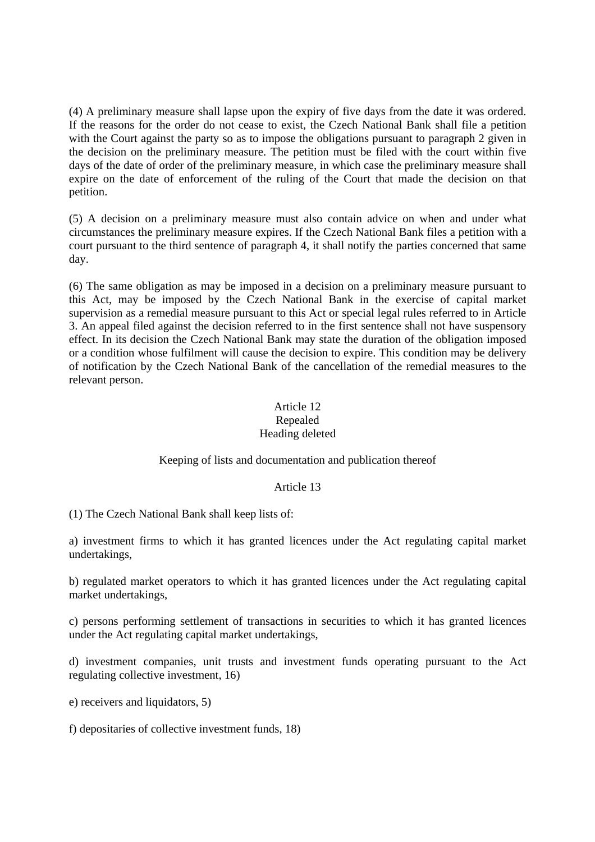(4) A preliminary measure shall lapse upon the expiry of five days from the date it was ordered. If the reasons for the order do not cease to exist, the Czech National Bank shall file a petition with the Court against the party so as to impose the obligations pursuant to paragraph 2 given in the decision on the preliminary measure. The petition must be filed with the court within five days of the date of order of the preliminary measure, in which case the preliminary measure shall expire on the date of enforcement of the ruling of the Court that made the decision on that petition.

(5) A decision on a preliminary measure must also contain advice on when and under what circumstances the preliminary measure expires. If the Czech National Bank files a petition with a court pursuant to the third sentence of paragraph 4, it shall notify the parties concerned that same day.

(6) The same obligation as may be imposed in a decision on a preliminary measure pursuant to this Act, may be imposed by the Czech National Bank in the exercise of capital market supervision as a remedial measure pursuant to this Act or special legal rules referred to in Article 3. An appeal filed against the decision referred to in the first sentence shall not have suspensory effect. In its decision the Czech National Bank may state the duration of the obligation imposed or a condition whose fulfilment will cause the decision to expire. This condition may be delivery of notification by the Czech National Bank of the cancellation of the remedial measures to the relevant person.

# Article 12 Repealed Heading deleted

# Keeping of lists and documentation and publication thereof

# Article 13

(1) The Czech National Bank shall keep lists of:

a) investment firms to which it has granted licences under the Act regulating capital market undertakings,

b) regulated market operators to which it has granted licences under the Act regulating capital market undertakings,

c) persons performing settlement of transactions in securities to which it has granted licences under the Act regulating capital market undertakings,

d) investment companies, unit trusts and investment funds operating pursuant to the Act regulating collective investment, 16)

e) receivers and liquidators, 5)

f) depositaries of collective investment funds, 18)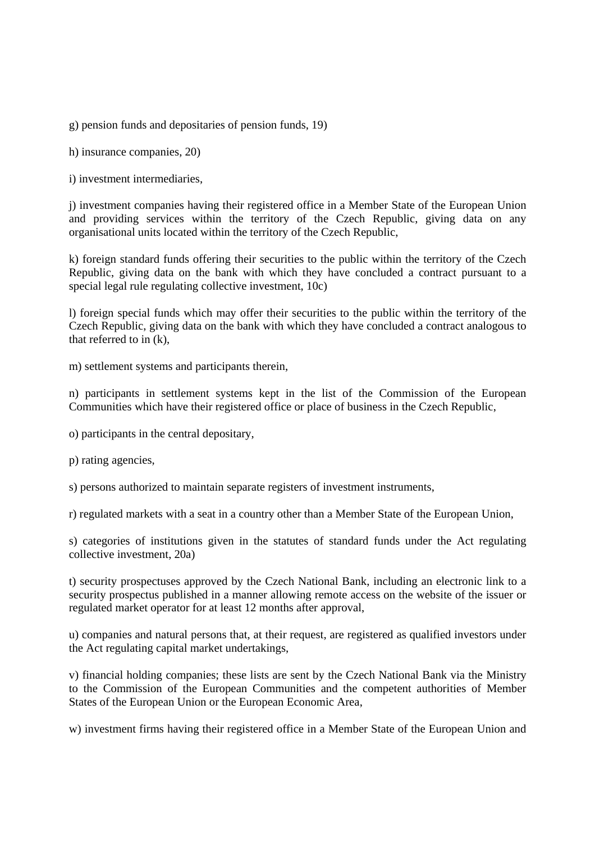g) pension funds and depositaries of pension funds, 19)

h) insurance companies, 20)

i) investment intermediaries,

j) investment companies having their registered office in a Member State of the European Union and providing services within the territory of the Czech Republic, giving data on any organisational units located within the territory of the Czech Republic,

k) foreign standard funds offering their securities to the public within the territory of the Czech Republic, giving data on the bank with which they have concluded a contract pursuant to a special legal rule regulating collective investment, 10c)

l) foreign special funds which may offer their securities to the public within the territory of the Czech Republic, giving data on the bank with which they have concluded a contract analogous to that referred to in (k),

m) settlement systems and participants therein,

n) participants in settlement systems kept in the list of the Commission of the European Communities which have their registered office or place of business in the Czech Republic,

- o) participants in the central depositary,
- p) rating agencies,

s) persons authorized to maintain separate registers of investment instruments,

r) regulated markets with a seat in a country other than a Member State of the European Union,

s) categories of institutions given in the statutes of standard funds under the Act regulating collective investment, 20a)

t) security prospectuses approved by the Czech National Bank, including an electronic link to a security prospectus published in a manner allowing remote access on the website of the issuer or regulated market operator for at least 12 months after approval,

u) companies and natural persons that, at their request, are registered as qualified investors under the Act regulating capital market undertakings,

v) financial holding companies; these lists are sent by the Czech National Bank via the Ministry to the Commission of the European Communities and the competent authorities of Member States of the European Union or the European Economic Area,

w) investment firms having their registered office in a Member State of the European Union and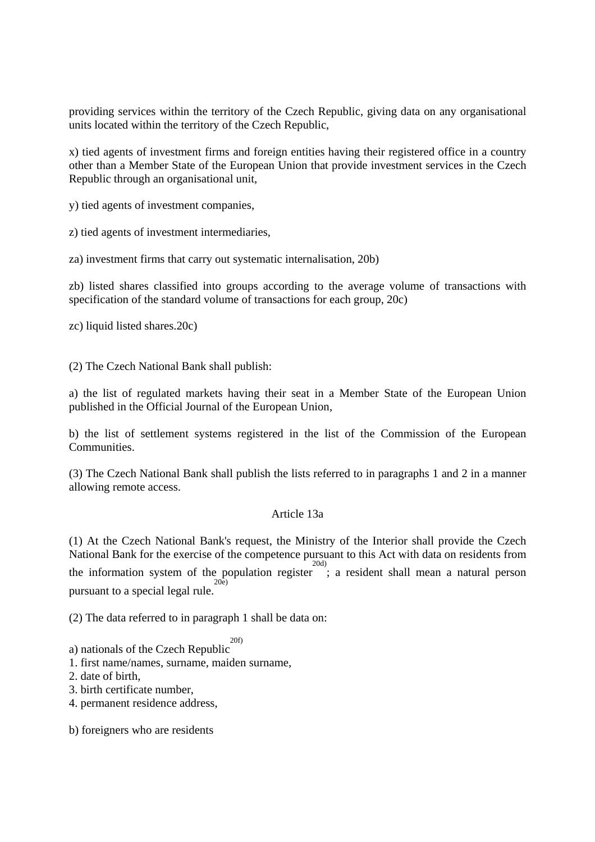providing services within the territory of the Czech Republic, giving data on any organisational units located within the territory of the Czech Republic,

x) tied agents of investment firms and foreign entities having their registered office in a country other than a Member State of the European Union that provide investment services in the Czech Republic through an organisational unit,

y) tied agents of investment companies,

z) tied agents of investment intermediaries,

za) investment firms that carry out systematic internalisation, 20b)

zb) listed shares classified into groups according to the average volume of transactions with specification of the standard volume of transactions for each group, 20c)

zc) liquid listed shares.20c)

(2) The Czech National Bank shall publish:

a) the list of regulated markets having their seat in a Member State of the European Union published in the Official Journal of the European Union,

b) the list of settlement systems registered in the list of the Commission of the European **Communities** 

(3) The Czech National Bank shall publish the lists referred to in paragraphs 1 and 2 in a manner allowing remote access.

#### Article 13a

(1) At the Czech National Bank's request, the Ministry of the Interior shall provide the Czech National Bank for the exercise of the competence pursuant to this Act with data on residents from the information system of the population register ; a resident shall mean a natural person 20d) pursuant to a special legal rule. 20e)

(2) The data referred to in paragraph 1 shall be data on:

- a) nationals of the Czech Republic 20f)
- 1. first name/names, surname, maiden surname,
- 2. date of birth
- 3. birth certificate number,
- 4. permanent residence address,

b) foreigners who are residents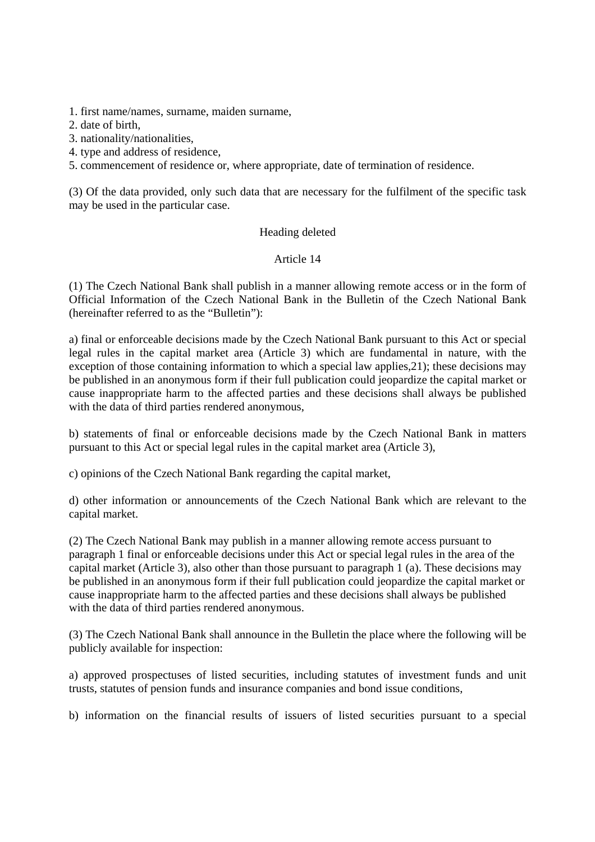1. first name/names, surname, maiden surname,

2. date of birth,

3. nationality/nationalities,

4. type and address of residence,

5. commencement of residence or, where appropriate, date of termination of residence.

(3) Of the data provided, only such data that are necessary for the fulfilment of the specific task may be used in the particular case.

### Heading deleted

# Article 14

(1) The Czech National Bank shall publish in a manner allowing remote access or in the form of Official Information of the Czech National Bank in the Bulletin of the Czech National Bank (hereinafter referred to as the "Bulletin"):

a) final or enforceable decisions made by the Czech National Bank pursuant to this Act or special legal rules in the capital market area (Article 3) which are fundamental in nature, with the exception of those containing information to which a special law applies,21); these decisions may be published in an anonymous form if their full publication could jeopardize the capital market or cause inappropriate harm to the affected parties and these decisions shall always be published with the data of third parties rendered anonymous,

b) statements of final or enforceable decisions made by the Czech National Bank in matters pursuant to this Act or special legal rules in the capital market area (Article 3),

c) opinions of the Czech National Bank regarding the capital market,

d) other information or announcements of the Czech National Bank which are relevant to the capital market.

(2) The Czech National Bank may publish in a manner allowing remote access pursuant to paragraph 1 final or enforceable decisions under this Act or special legal rules in the area of the capital market (Article 3), also other than those pursuant to paragraph 1 (a). These decisions may be published in an anonymous form if their full publication could jeopardize the capital market or cause inappropriate harm to the affected parties and these decisions shall always be published with the data of third parties rendered anonymous.

(3) The Czech National Bank shall announce in the Bulletin the place where the following will be publicly available for inspection:

a) approved prospectuses of listed securities, including statutes of investment funds and unit trusts, statutes of pension funds and insurance companies and bond issue conditions,

b) information on the financial results of issuers of listed securities pursuant to a special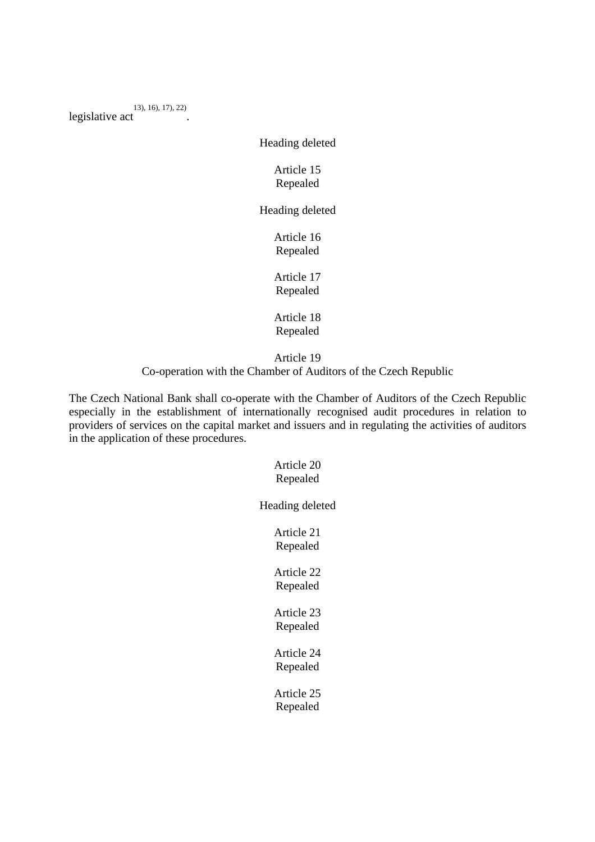legislative act 13), 16), 17), 22) .

Heading deleted

# Article 15 Repealed

Heading deleted

Article 16 Repealed

Article 17 Repealed

Article 18 Repealed

Article 19 Co-operation with the Chamber of Auditors of the Czech Republic

The Czech National Bank shall co-operate with the Chamber of Auditors of the Czech Republic especially in the establishment of internationally recognised audit procedures in relation to providers of services on the capital market and issuers and in regulating the activities of auditors in the application of these procedures.

# Article 20 Repealed

Heading deleted

Article 21 Repealed

Article 22 Repealed

Article 23 Repealed

Article 24 Repealed

Article 25 Repealed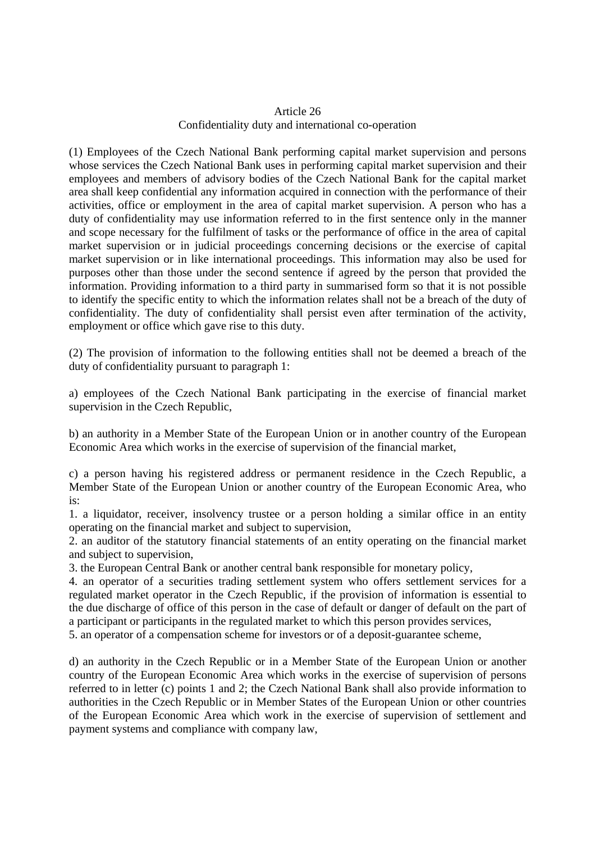# Article 26 Confidentiality duty and international co-operation

(1) Employees of the Czech National Bank performing capital market supervision and persons whose services the Czech National Bank uses in performing capital market supervision and their employees and members of advisory bodies of the Czech National Bank for the capital market area shall keep confidential any information acquired in connection with the performance of their activities, office or employment in the area of capital market supervision. A person who has a duty of confidentiality may use information referred to in the first sentence only in the manner and scope necessary for the fulfilment of tasks or the performance of office in the area of capital market supervision or in judicial proceedings concerning decisions or the exercise of capital market supervision or in like international proceedings. This information may also be used for purposes other than those under the second sentence if agreed by the person that provided the information. Providing information to a third party in summarised form so that it is not possible to identify the specific entity to which the information relates shall not be a breach of the duty of confidentiality. The duty of confidentiality shall persist even after termination of the activity, employment or office which gave rise to this duty.

(2) The provision of information to the following entities shall not be deemed a breach of the duty of confidentiality pursuant to paragraph 1:

a) employees of the Czech National Bank participating in the exercise of financial market supervision in the Czech Republic,

b) an authority in a Member State of the European Union or in another country of the European Economic Area which works in the exercise of supervision of the financial market,

c) a person having his registered address or permanent residence in the Czech Republic, a Member State of the European Union or another country of the European Economic Area, who is:

1. a liquidator, receiver, insolvency trustee or a person holding a similar office in an entity operating on the financial market and subject to supervision,

2. an auditor of the statutory financial statements of an entity operating on the financial market and subject to supervision,

3. the European Central Bank or another central bank responsible for monetary policy,

4. an operator of a securities trading settlement system who offers settlement services for a regulated market operator in the Czech Republic, if the provision of information is essential to the due discharge of office of this person in the case of default or danger of default on the part of a participant or participants in the regulated market to which this person provides services,

5. an operator of a compensation scheme for investors or of a deposit-guarantee scheme,

d) an authority in the Czech Republic or in a Member State of the European Union or another country of the European Economic Area which works in the exercise of supervision of persons referred to in letter (c) points 1 and 2; the Czech National Bank shall also provide information to authorities in the Czech Republic or in Member States of the European Union or other countries of the European Economic Area which work in the exercise of supervision of settlement and payment systems and compliance with company law,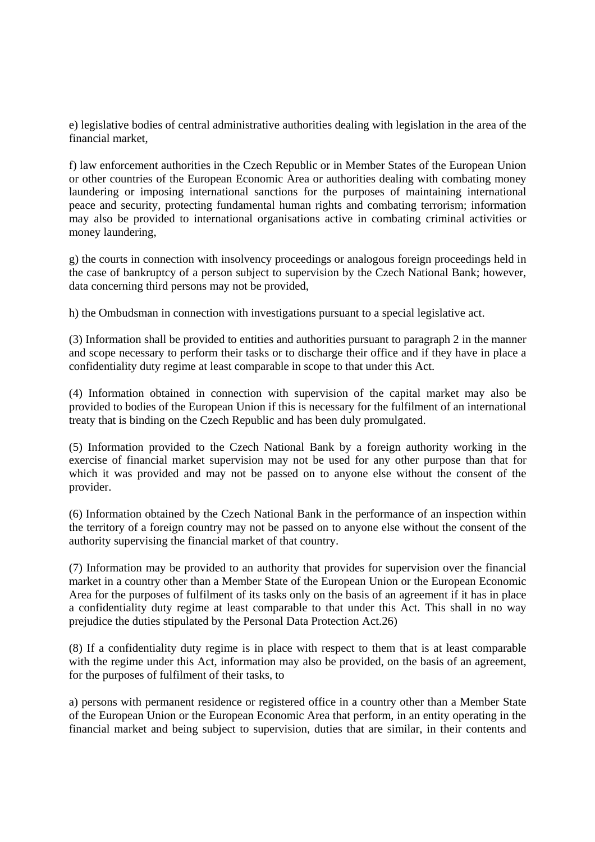e) legislative bodies of central administrative authorities dealing with legislation in the area of the financial market,

f) law enforcement authorities in the Czech Republic or in Member States of the European Union or other countries of the European Economic Area or authorities dealing with combating money laundering or imposing international sanctions for the purposes of maintaining international peace and security, protecting fundamental human rights and combating terrorism; information may also be provided to international organisations active in combating criminal activities or money laundering,

g) the courts in connection with insolvency proceedings or analogous foreign proceedings held in the case of bankruptcy of a person subject to supervision by the Czech National Bank; however, data concerning third persons may not be provided,

h) the Ombudsman in connection with investigations pursuant to a special legislative act.

(3) Information shall be provided to entities and authorities pursuant to paragraph 2 in the manner and scope necessary to perform their tasks or to discharge their office and if they have in place a confidentiality duty regime at least comparable in scope to that under this Act.

(4) Information obtained in connection with supervision of the capital market may also be provided to bodies of the European Union if this is necessary for the fulfilment of an international treaty that is binding on the Czech Republic and has been duly promulgated.

(5) Information provided to the Czech National Bank by a foreign authority working in the exercise of financial market supervision may not be used for any other purpose than that for which it was provided and may not be passed on to anyone else without the consent of the provider.

(6) Information obtained by the Czech National Bank in the performance of an inspection within the territory of a foreign country may not be passed on to anyone else without the consent of the authority supervising the financial market of that country.

(7) Information may be provided to an authority that provides for supervision over the financial market in a country other than a Member State of the European Union or the European Economic Area for the purposes of fulfilment of its tasks only on the basis of an agreement if it has in place a confidentiality duty regime at least comparable to that under this Act. This shall in no way prejudice the duties stipulated by the Personal Data Protection Act.26)

(8) If a confidentiality duty regime is in place with respect to them that is at least comparable with the regime under this Act, information may also be provided, on the basis of an agreement, for the purposes of fulfilment of their tasks, to

a) persons with permanent residence or registered office in a country other than a Member State of the European Union or the European Economic Area that perform, in an entity operating in the financial market and being subject to supervision, duties that are similar, in their contents and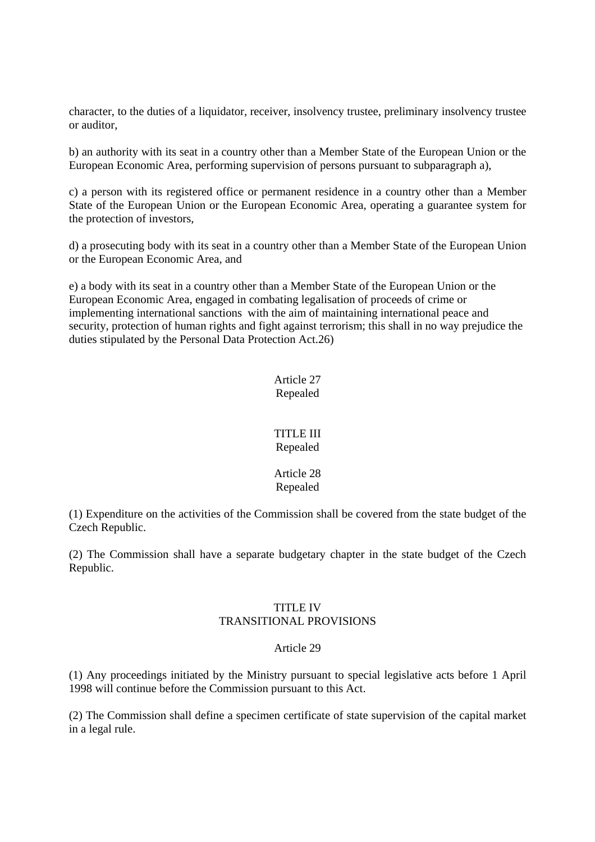character, to the duties of a liquidator, receiver, insolvency trustee, preliminary insolvency trustee or auditor,

b) an authority with its seat in a country other than a Member State of the European Union or the European Economic Area, performing supervision of persons pursuant to subparagraph a),

c) a person with its registered office or permanent residence in a country other than a Member State of the European Union or the European Economic Area, operating a guarantee system for the protection of investors,

d) a prosecuting body with its seat in a country other than a Member State of the European Union or the European Economic Area, and

e) a body with its seat in a country other than a Member State of the European Union or the European Economic Area, engaged in combating legalisation of proceeds of crime or implementing international sanctions with the aim of maintaining international peace and security, protection of human rights and fight against terrorism; this shall in no way prejudice the duties stipulated by the Personal Data Protection Act.26)

> Article 27 Repealed

### TITLE III Repealed

#### Article 28 Repealed

(1) Expenditure on the activities of the Commission shall be covered from the state budget of the Czech Republic.

(2) The Commission shall have a separate budgetary chapter in the state budget of the Czech Republic.

#### TITLE IV TRANSITIONAL PROVISIONS

# Article 29

(1) Any proceedings initiated by the Ministry pursuant to special legislative acts before 1 April 1998 will continue before the Commission pursuant to this Act.

(2) The Commission shall define a specimen certificate of state supervision of the capital market in a legal rule.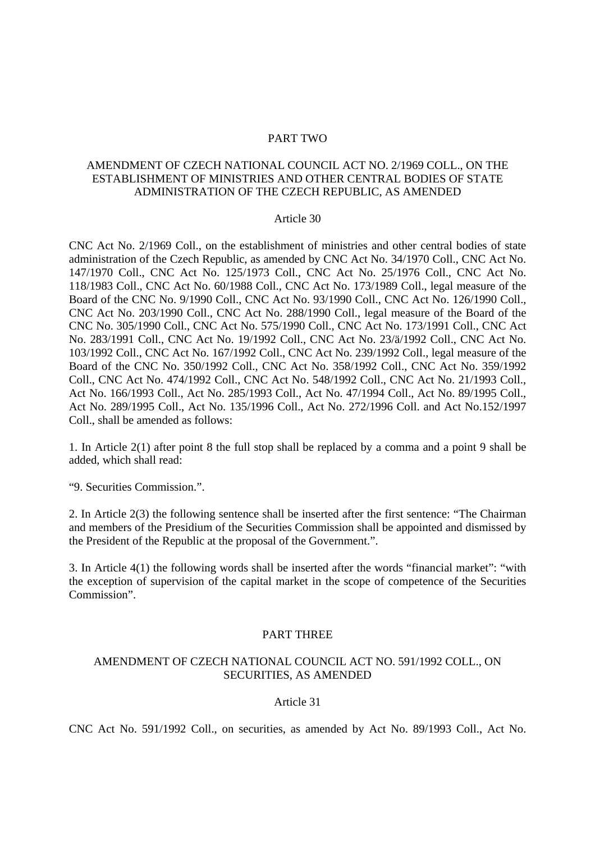#### PART TWO

# AMENDMENT OF CZECH NATIONAL COUNCIL ACT NO. 2/1969 COLL., ON THE ESTABLISHMENT OF MINISTRIES AND OTHER CENTRAL BODIES OF STATE ADMINISTRATION OF THE CZECH REPUBLIC, AS AMENDED

#### Article 30

CNC Act No. 2/1969 Coll., on the establishment of ministries and other central bodies of state administration of the Czech Republic, as amended by CNC Act No. 34/1970 Coll., CNC Act No. 147/1970 Coll., CNC Act No. 125/1973 Coll., CNC Act No. 25/1976 Coll., CNC Act No. 118/1983 Coll., CNC Act No. 60/1988 Coll., CNC Act No. 173/1989 Coll., legal measure of the Board of the CNC No. 9/1990 Coll., CNC Act No. 93/1990 Coll., CNC Act No. 126/1990 Coll., CNC Act No. 203/1990 Coll., CNC Act No. 288/1990 Coll., legal measure of the Board of the CNC No. 305/1990 Coll., CNC Act No. 575/1990 Coll., CNC Act No. 173/1991 Coll., CNC Act No. 283/1991 Coll., CNC Act No. 19/1992 Coll., CNC Act No. 23/ä/1992 Coll., CNC Act No. 103/1992 Coll., CNC Act No. 167/1992 Coll., CNC Act No. 239/1992 Coll., legal measure of the Board of the CNC No. 350/1992 Coll., CNC Act No. 358/1992 Coll., CNC Act No. 359/1992 Coll., CNC Act No. 474/1992 Coll., CNC Act No. 548/1992 Coll., CNC Act No. 21/1993 Coll., Act No. 166/1993 Coll., Act No. 285/1993 Coll., Act No. 47/1994 Coll., Act No. 89/1995 Coll., Act No. 289/1995 Coll., Act No. 135/1996 Coll., Act No. 272/1996 Coll. and Act No.152/1997 Coll., shall be amended as follows:

1. In Article 2(1) after point 8 the full stop shall be replaced by a comma and a point 9 shall be added, which shall read:

"9. Securities Commission.".

2. In Article 2(3) the following sentence shall be inserted after the first sentence: "The Chairman and members of the Presidium of the Securities Commission shall be appointed and dismissed by the President of the Republic at the proposal of the Government.".

3. In Article 4(1) the following words shall be inserted after the words "financial market": "with the exception of supervision of the capital market in the scope of competence of the Securities Commission".

#### PART THREE

### AMENDMENT OF CZECH NATIONAL COUNCIL ACT NO. 591/1992 COLL., ON SECURITIES, AS AMENDED

#### Article 31

CNC Act No. 591/1992 Coll., on securities, as amended by Act No. 89/1993 Coll., Act No.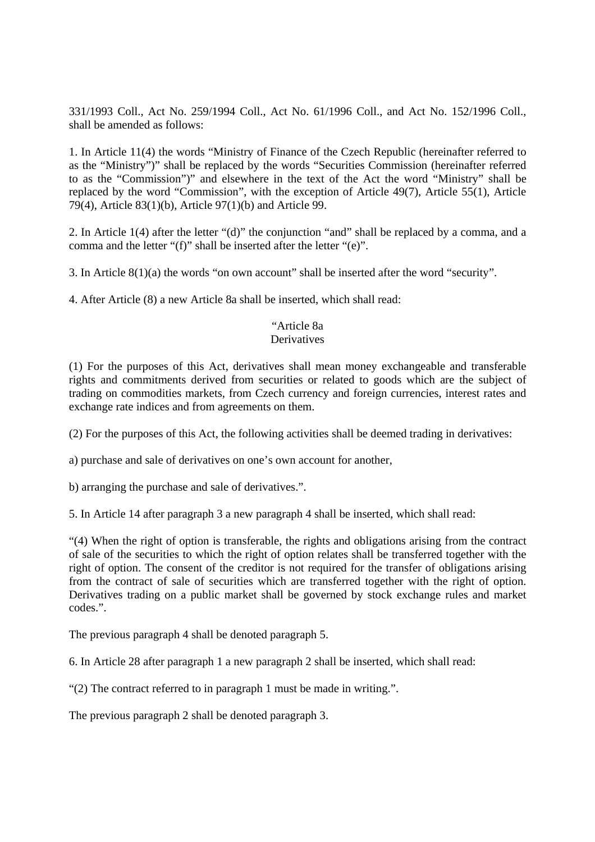331/1993 Coll., Act No. 259/1994 Coll., Act No. 61/1996 Coll., and Act No. 152/1996 Coll., shall be amended as follows:

1. In Article 11(4) the words "Ministry of Finance of the Czech Republic (hereinafter referred to as the "Ministry")" shall be replaced by the words "Securities Commission (hereinafter referred to as the "Commission")" and elsewhere in the text of the Act the word "Ministry" shall be replaced by the word "Commission", with the exception of Article 49(7), Article 55(1), Article 79(4), Article 83(1)(b), Article 97(1)(b) and Article 99.

2. In Article 1(4) after the letter "(d)" the conjunction "and" shall be replaced by a comma, and a comma and the letter "(f)" shall be inserted after the letter "(e)".

3. In Article 8(1)(a) the words "on own account" shall be inserted after the word "security".

4. After Article (8) a new Article 8a shall be inserted, which shall read:

# "Article 8a

### **Derivatives**

(1) For the purposes of this Act, derivatives shall mean money exchangeable and transferable rights and commitments derived from securities or related to goods which are the subject of trading on commodities markets, from Czech currency and foreign currencies, interest rates and exchange rate indices and from agreements on them.

(2) For the purposes of this Act, the following activities shall be deemed trading in derivatives:

a) purchase and sale of derivatives on one's own account for another,

b) arranging the purchase and sale of derivatives.".

5. In Article 14 after paragraph 3 a new paragraph 4 shall be inserted, which shall read:

"(4) When the right of option is transferable, the rights and obligations arising from the contract of sale of the securities to which the right of option relates shall be transferred together with the right of option. The consent of the creditor is not required for the transfer of obligations arising from the contract of sale of securities which are transferred together with the right of option. Derivatives trading on a public market shall be governed by stock exchange rules and market codes.".

The previous paragraph 4 shall be denoted paragraph 5.

6. In Article 28 after paragraph 1 a new paragraph 2 shall be inserted, which shall read:

"(2) The contract referred to in paragraph 1 must be made in writing.".

The previous paragraph 2 shall be denoted paragraph 3.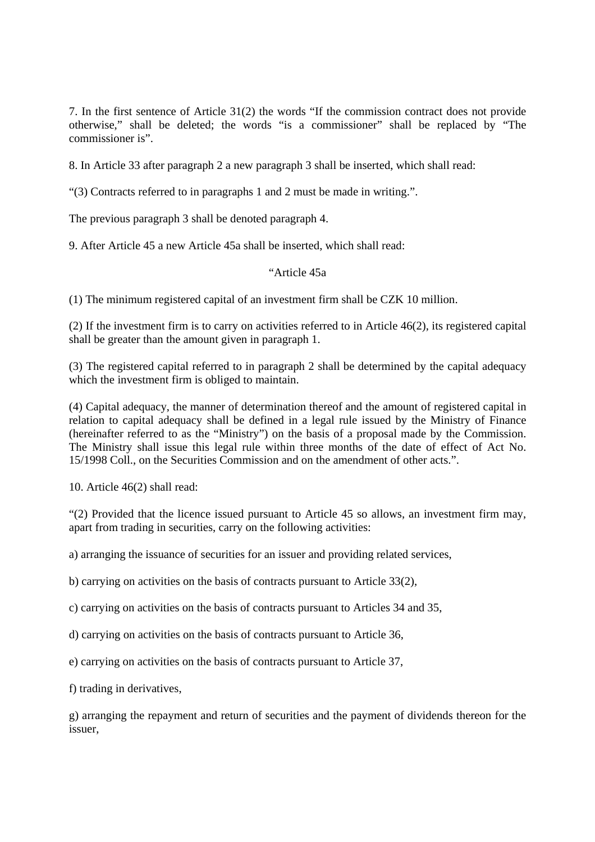7. In the first sentence of Article 31(2) the words "If the commission contract does not provide otherwise," shall be deleted; the words "is a commissioner" shall be replaced by "The commissioner is".

8. In Article 33 after paragraph 2 a new paragraph 3 shall be inserted, which shall read:

"(3) Contracts referred to in paragraphs 1 and 2 must be made in writing.".

The previous paragraph 3 shall be denoted paragraph 4.

9. After Article 45 a new Article 45a shall be inserted, which shall read:

# "Article 45a

(1) The minimum registered capital of an investment firm shall be CZK 10 million.

(2) If the investment firm is to carry on activities referred to in Article 46(2), its registered capital shall be greater than the amount given in paragraph 1.

(3) The registered capital referred to in paragraph 2 shall be determined by the capital adequacy which the investment firm is obliged to maintain.

(4) Capital adequacy, the manner of determination thereof and the amount of registered capital in relation to capital adequacy shall be defined in a legal rule issued by the Ministry of Finance (hereinafter referred to as the "Ministry") on the basis of a proposal made by the Commission. The Ministry shall issue this legal rule within three months of the date of effect of Act No. 15/1998 Coll., on the Securities Commission and on the amendment of other acts.".

10. Article 46(2) shall read:

"(2) Provided that the licence issued pursuant to Article 45 so allows, an investment firm may, apart from trading in securities, carry on the following activities:

a) arranging the issuance of securities for an issuer and providing related services,

b) carrying on activities on the basis of contracts pursuant to Article 33(2),

c) carrying on activities on the basis of contracts pursuant to Articles 34 and 35,

d) carrying on activities on the basis of contracts pursuant to Article 36,

e) carrying on activities on the basis of contracts pursuant to Article 37,

f) trading in derivatives,

g) arranging the repayment and return of securities and the payment of dividends thereon for the issuer,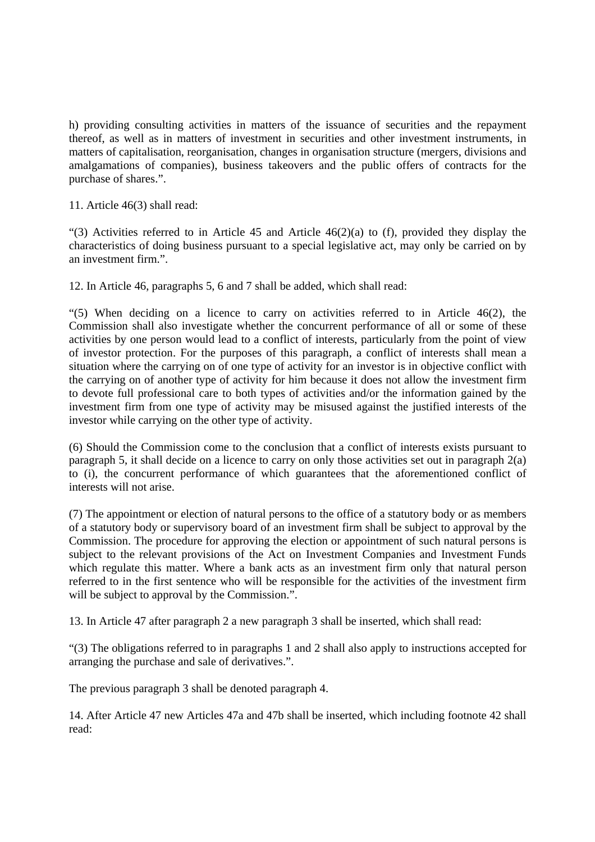h) providing consulting activities in matters of the issuance of securities and the repayment thereof, as well as in matters of investment in securities and other investment instruments, in matters of capitalisation, reorganisation, changes in organisation structure (mergers, divisions and amalgamations of companies), business takeovers and the public offers of contracts for the purchase of shares.".

11. Article 46(3) shall read:

"(3) Activities referred to in Article 45 and Article  $46(2)(a)$  to (f), provided they display the characteristics of doing business pursuant to a special legislative act, may only be carried on by an investment firm.".

12. In Article 46, paragraphs 5, 6 and 7 shall be added, which shall read:

"(5) When deciding on a licence to carry on activities referred to in Article  $46(2)$ , the Commission shall also investigate whether the concurrent performance of all or some of these activities by one person would lead to a conflict of interests, particularly from the point of view of investor protection. For the purposes of this paragraph, a conflict of interests shall mean a situation where the carrying on of one type of activity for an investor is in objective conflict with the carrying on of another type of activity for him because it does not allow the investment firm to devote full professional care to both types of activities and/or the information gained by the investment firm from one type of activity may be misused against the justified interests of the investor while carrying on the other type of activity.

(6) Should the Commission come to the conclusion that a conflict of interests exists pursuant to paragraph 5, it shall decide on a licence to carry on only those activities set out in paragraph 2(a) to (i), the concurrent performance of which guarantees that the aforementioned conflict of interests will not arise.

(7) The appointment or election of natural persons to the office of a statutory body or as members of a statutory body or supervisory board of an investment firm shall be subject to approval by the Commission. The procedure for approving the election or appointment of such natural persons is subject to the relevant provisions of the Act on Investment Companies and Investment Funds which regulate this matter. Where a bank acts as an investment firm only that natural person referred to in the first sentence who will be responsible for the activities of the investment firm will be subject to approval by the Commission.".

13. In Article 47 after paragraph 2 a new paragraph 3 shall be inserted, which shall read:

"(3) The obligations referred to in paragraphs 1 and 2 shall also apply to instructions accepted for arranging the purchase and sale of derivatives.".

The previous paragraph 3 shall be denoted paragraph 4.

14. After Article 47 new Articles 47a and 47b shall be inserted, which including footnote 42 shall read: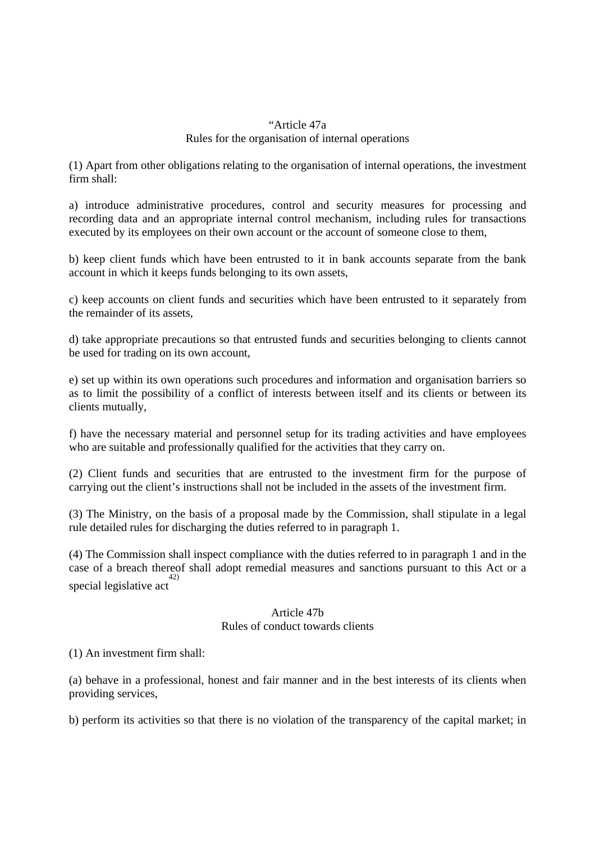### "Article 47a Rules for the organisation of internal operations

(1) Apart from other obligations relating to the organisation of internal operations, the investment firm shall:

a) introduce administrative procedures, control and security measures for processing and recording data and an appropriate internal control mechanism, including rules for transactions executed by its employees on their own account or the account of someone close to them,

b) keep client funds which have been entrusted to it in bank accounts separate from the bank account in which it keeps funds belonging to its own assets,

c) keep accounts on client funds and securities which have been entrusted to it separately from the remainder of its assets,

d) take appropriate precautions so that entrusted funds and securities belonging to clients cannot be used for trading on its own account,

e) set up within its own operations such procedures and information and organisation barriers so as to limit the possibility of a conflict of interests between itself and its clients or between its clients mutually,

f) have the necessary material and personnel setup for its trading activities and have employees who are suitable and professionally qualified for the activities that they carry on.

(2) Client funds and securities that are entrusted to the investment firm for the purpose of carrying out the client's instructions shall not be included in the assets of the investment firm.

(3) The Ministry, on the basis of a proposal made by the Commission, shall stipulate in a legal rule detailed rules for discharging the duties referred to in paragraph 1.

(4) The Commission shall inspect compliance with the duties referred to in paragraph 1 and in the case of a breach thereof shall adopt remedial measures and sanctions pursuant to this Act or a special legislative act 42)

# Article 47b Rules of conduct towards clients

(1) An investment firm shall:

(a) behave in a professional, honest and fair manner and in the best interests of its clients when providing services,

b) perform its activities so that there is no violation of the transparency of the capital market; in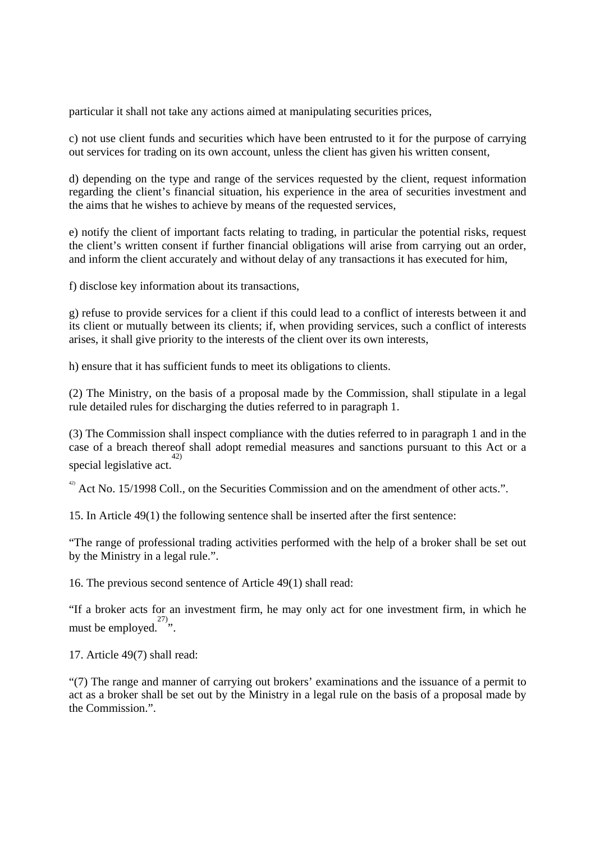particular it shall not take any actions aimed at manipulating securities prices,

c) not use client funds and securities which have been entrusted to it for the purpose of carrying out services for trading on its own account, unless the client has given his written consent,

d) depending on the type and range of the services requested by the client, request information regarding the client's financial situation, his experience in the area of securities investment and the aims that he wishes to achieve by means of the requested services,

e) notify the client of important facts relating to trading, in particular the potential risks, request the client's written consent if further financial obligations will arise from carrying out an order, and inform the client accurately and without delay of any transactions it has executed for him,

f) disclose key information about its transactions,

g) refuse to provide services for a client if this could lead to a conflict of interests between it and its client or mutually between its clients; if, when providing services, such a conflict of interests arises, it shall give priority to the interests of the client over its own interests,

h) ensure that it has sufficient funds to meet its obligations to clients.

(2) The Ministry, on the basis of a proposal made by the Commission, shall stipulate in a legal rule detailed rules for discharging the duties referred to in paragraph 1.

(3) The Commission shall inspect compliance with the duties referred to in paragraph 1 and in the case of a breach thereof shall adopt remedial measures and sanctions pursuant to this Act or a special legislative act. 42)

 $^{42}$  Act No. 15/1998 Coll., on the Securities Commission and on the amendment of other acts.".

15. In Article 49(1) the following sentence shall be inserted after the first sentence:

"The range of professional trading activities performed with the help of a broker shall be set out by the Ministry in a legal rule.".

16. The previous second sentence of Article 49(1) shall read:

"If a broker acts for an investment firm, he may only act for one investment firm, in which he must be employed.  $27$ ,

17. Article 49(7) shall read:

"(7) The range and manner of carrying out brokers' examinations and the issuance of a permit to act as a broker shall be set out by the Ministry in a legal rule on the basis of a proposal made by the Commission.".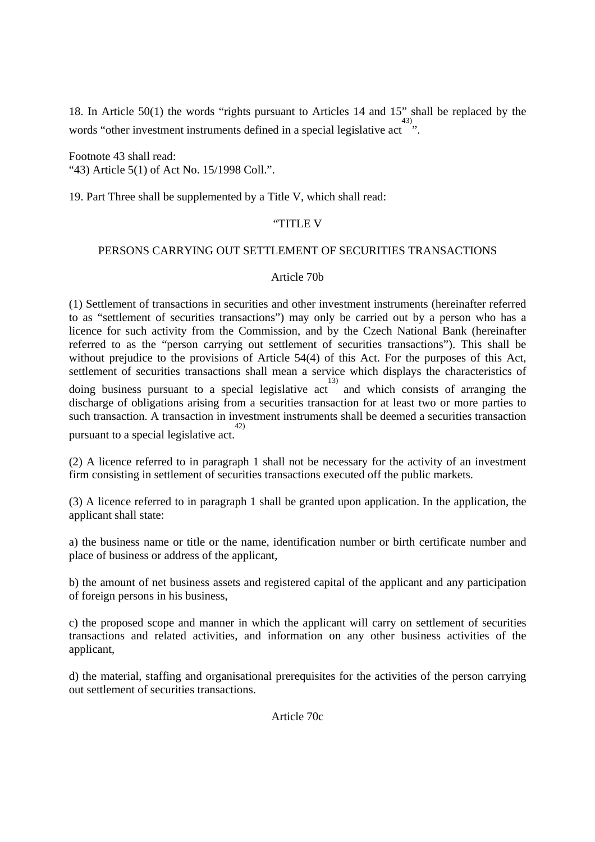18. In Article 50(1) the words "rights pursuant to Articles 14 and 15" shall be replaced by the words "other investment instruments defined in a special legislative act".

Footnote 43 shall read: "43) Article 5(1) of Act No. 15/1998 Coll.".

19. Part Three shall be supplemented by a Title V, which shall read:

### "TITLE V

### PERSONS CARRYING OUT SETTLEMENT OF SECURITIES TRANSACTIONS

#### Article 70b

(1) Settlement of transactions in securities and other investment instruments (hereinafter referred to as "settlement of securities transactions") may only be carried out by a person who has a licence for such activity from the Commission, and by the Czech National Bank (hereinafter referred to as the "person carrying out settlement of securities transactions"). This shall be without prejudice to the provisions of Article 54(4) of this Act. For the purposes of this Act, settlement of securities transactions shall mean a service which displays the characteristics of doing business pursuant to a special legislative act 13) and which consists of arranging the

discharge of obligations arising from a securities transaction for at least two or more parties to such transaction. A transaction in investment instruments shall be deemed a securities transaction pursuant to a special legislative act. 42)

(2) A licence referred to in paragraph 1 shall not be necessary for the activity of an investment firm consisting in settlement of securities transactions executed off the public markets.

(3) A licence referred to in paragraph 1 shall be granted upon application. In the application, the applicant shall state:

a) the business name or title or the name, identification number or birth certificate number and place of business or address of the applicant,

b) the amount of net business assets and registered capital of the applicant and any participation of foreign persons in his business,

c) the proposed scope and manner in which the applicant will carry on settlement of securities transactions and related activities, and information on any other business activities of the applicant,

d) the material, staffing and organisational prerequisites for the activities of the person carrying out settlement of securities transactions.

Article 70c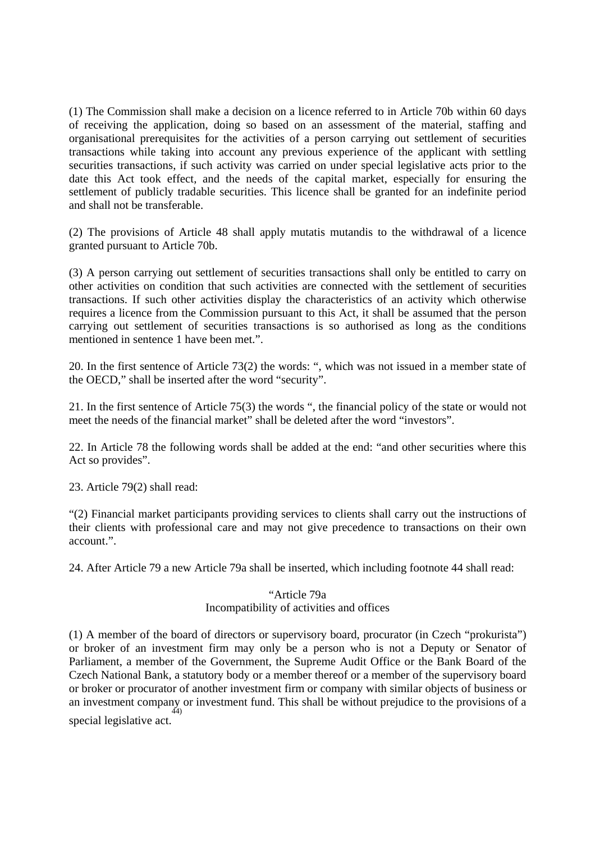(1) The Commission shall make a decision on a licence referred to in Article 70b within 60 days of receiving the application, doing so based on an assessment of the material, staffing and organisational prerequisites for the activities of a person carrying out settlement of securities transactions while taking into account any previous experience of the applicant with settling securities transactions, if such activity was carried on under special legislative acts prior to the date this Act took effect, and the needs of the capital market, especially for ensuring the settlement of publicly tradable securities. This licence shall be granted for an indefinite period and shall not be transferable.

(2) The provisions of Article 48 shall apply mutatis mutandis to the withdrawal of a licence granted pursuant to Article 70b.

(3) A person carrying out settlement of securities transactions shall only be entitled to carry on other activities on condition that such activities are connected with the settlement of securities transactions. If such other activities display the characteristics of an activity which otherwise requires a licence from the Commission pursuant to this Act, it shall be assumed that the person carrying out settlement of securities transactions is so authorised as long as the conditions mentioned in sentence 1 have been met.".

20. In the first sentence of Article 73(2) the words: ", which was not issued in a member state of the OECD," shall be inserted after the word "security".

21. In the first sentence of Article 75(3) the words ", the financial policy of the state or would not meet the needs of the financial market" shall be deleted after the word "investors".

22. In Article 78 the following words shall be added at the end: "and other securities where this Act so provides".

23. Article 79(2) shall read:

"(2) Financial market participants providing services to clients shall carry out the instructions of their clients with professional care and may not give precedence to transactions on their own account.".

24. After Article 79 a new Article 79a shall be inserted, which including footnote 44 shall read:

# "Article 79a Incompatibility of activities and offices

(1) A member of the board of directors or supervisory board, procurator (in Czech "prokurista") or broker of an investment firm may only be a person who is not a Deputy or Senator of Parliament, a member of the Government, the Supreme Audit Office or the Bank Board of the Czech National Bank, a statutory body or a member thereof or a member of the supervisory board or broker or procurator of another investment firm or company with similar objects of business or an investment company or investment fund. This shall be without prejudice to the provisions of a special legislative act. 44)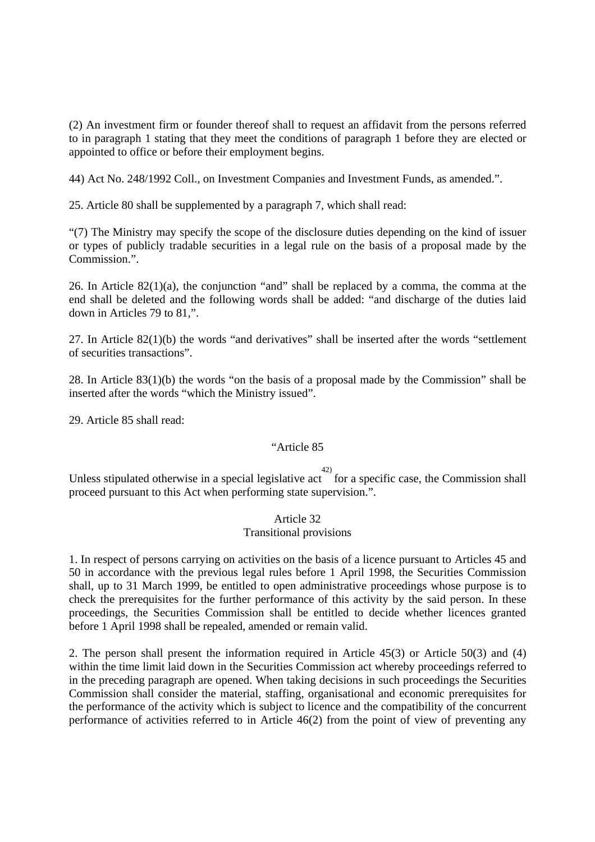(2) An investment firm or founder thereof shall to request an affidavit from the persons referred to in paragraph 1 stating that they meet the conditions of paragraph 1 before they are elected or appointed to office or before their employment begins.

44) Act No. 248/1992 Coll., on Investment Companies and Investment Funds, as amended.".

25. Article 80 shall be supplemented by a paragraph 7, which shall read:

"(7) The Ministry may specify the scope of the disclosure duties depending on the kind of issuer or types of publicly tradable securities in a legal rule on the basis of a proposal made by the Commission.".

26. In Article 82(1)(a), the conjunction "and" shall be replaced by a comma, the comma at the end shall be deleted and the following words shall be added: "and discharge of the duties laid down in Articles 79 to 81,".

27. In Article 82(1)(b) the words "and derivatives" shall be inserted after the words "settlement of securities transactions".

28. In Article 83(1)(b) the words "on the basis of a proposal made by the Commission" shall be inserted after the words "which the Ministry issued".

29. Article 85 shall read:

#### "Article 85

 $42)$ 

Unless stipulated otherwise in a special legislative act for a specific case, the Commission shall proceed pursuant to this Act when performing state supervision.".

# Article 32

#### Transitional provisions

1. In respect of persons carrying on activities on the basis of a licence pursuant to Articles 45 and 50 in accordance with the previous legal rules before 1 April 1998, the Securities Commission shall, up to 31 March 1999, be entitled to open administrative proceedings whose purpose is to check the prerequisites for the further performance of this activity by the said person. In these proceedings, the Securities Commission shall be entitled to decide whether licences granted before 1 April 1998 shall be repealed, amended or remain valid.

2. The person shall present the information required in Article 45(3) or Article 50(3) and (4) within the time limit laid down in the Securities Commission act whereby proceedings referred to in the preceding paragraph are opened. When taking decisions in such proceedings the Securities Commission shall consider the material, staffing, organisational and economic prerequisites for the performance of the activity which is subject to licence and the compatibility of the concurrent performance of activities referred to in Article 46(2) from the point of view of preventing any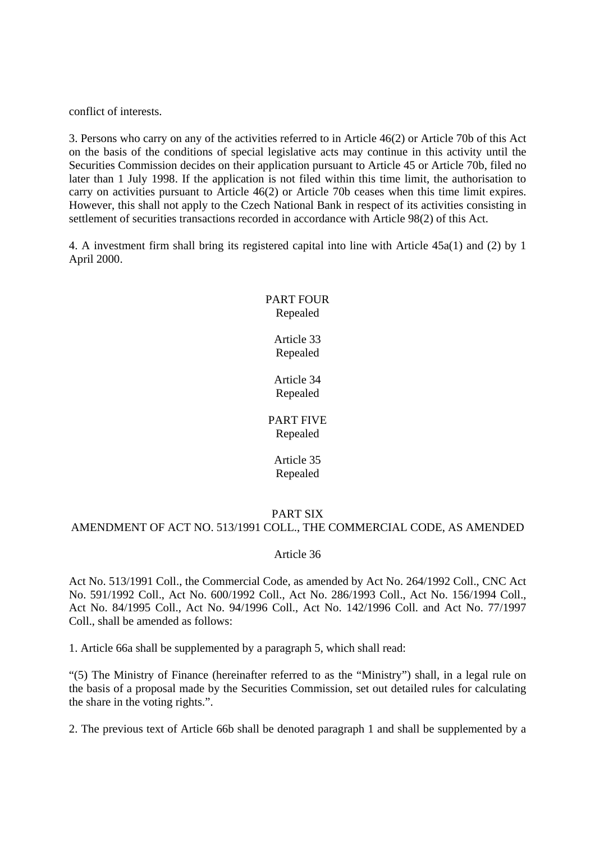conflict of interests.

3. Persons who carry on any of the activities referred to in Article 46(2) or Article 70b of this Act on the basis of the conditions of special legislative acts may continue in this activity until the Securities Commission decides on their application pursuant to Article 45 or Article 70b, filed no later than 1 July 1998. If the application is not filed within this time limit, the authorisation to carry on activities pursuant to Article 46(2) or Article 70b ceases when this time limit expires. However, this shall not apply to the Czech National Bank in respect of its activities consisting in settlement of securities transactions recorded in accordance with Article 98(2) of this Act.

4. A investment firm shall bring its registered capital into line with Article 45a(1) and (2) by 1 April 2000.

# PART FOUR Repealed

Article 33 Repealed

Article 34 Repealed

PART FIVE Repealed

> Article 35 Repealed

# PART SIX

#### AMENDMENT OF ACT NO. 513/1991 COLL., THE COMMERCIAL CODE, AS AMENDED

#### Article 36

Act No. 513/1991 Coll., the Commercial Code, as amended by Act No. 264/1992 Coll., CNC Act No. 591/1992 Coll., Act No. 600/1992 Coll., Act No. 286/1993 Coll., Act No. 156/1994 Coll., Act No. 84/1995 Coll., Act No. 94/1996 Coll., Act No. 142/1996 Coll. and Act No. 77/1997 Coll., shall be amended as follows:

1. Article 66a shall be supplemented by a paragraph 5, which shall read:

"(5) The Ministry of Finance (hereinafter referred to as the "Ministry") shall, in a legal rule on the basis of a proposal made by the Securities Commission, set out detailed rules for calculating the share in the voting rights.".

2. The previous text of Article 66b shall be denoted paragraph 1 and shall be supplemented by a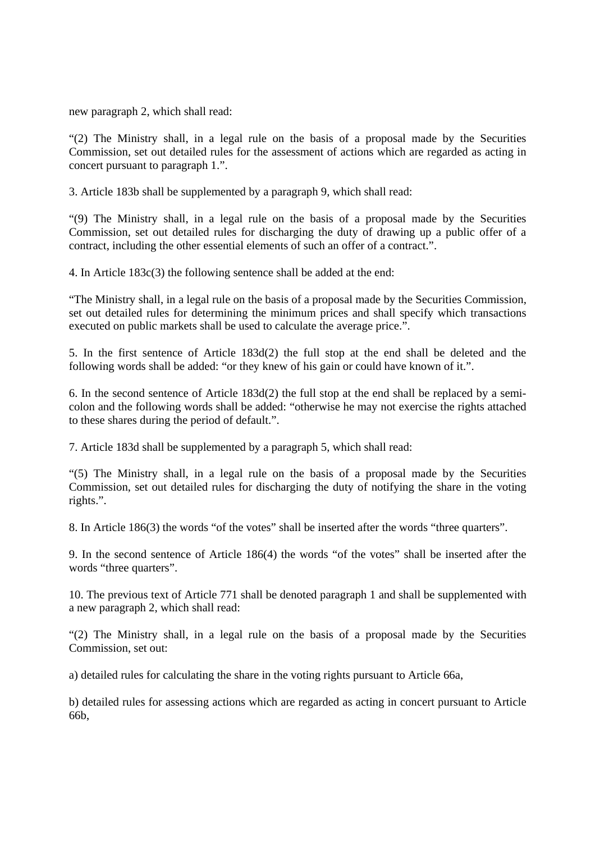new paragraph 2, which shall read:

"(2) The Ministry shall, in a legal rule on the basis of a proposal made by the Securities Commission, set out detailed rules for the assessment of actions which are regarded as acting in concert pursuant to paragraph 1.".

3. Article 183b shall be supplemented by a paragraph 9, which shall read:

"(9) The Ministry shall, in a legal rule on the basis of a proposal made by the Securities Commission, set out detailed rules for discharging the duty of drawing up a public offer of a contract, including the other essential elements of such an offer of a contract.".

4. In Article 183c(3) the following sentence shall be added at the end:

"The Ministry shall, in a legal rule on the basis of a proposal made by the Securities Commission, set out detailed rules for determining the minimum prices and shall specify which transactions executed on public markets shall be used to calculate the average price.".

5. In the first sentence of Article 183d(2) the full stop at the end shall be deleted and the following words shall be added: "or they knew of his gain or could have known of it.".

6. In the second sentence of Article 183d(2) the full stop at the end shall be replaced by a semicolon and the following words shall be added: "otherwise he may not exercise the rights attached to these shares during the period of default.".

7. Article 183d shall be supplemented by a paragraph 5, which shall read:

"(5) The Ministry shall, in a legal rule on the basis of a proposal made by the Securities Commission, set out detailed rules for discharging the duty of notifying the share in the voting rights.".

8. In Article 186(3) the words "of the votes" shall be inserted after the words "three quarters".

9. In the second sentence of Article 186(4) the words "of the votes" shall be inserted after the words "three quarters".

10. The previous text of Article 771 shall be denoted paragraph 1 and shall be supplemented with a new paragraph 2, which shall read:

"(2) The Ministry shall, in a legal rule on the basis of a proposal made by the Securities Commission, set out:

a) detailed rules for calculating the share in the voting rights pursuant to Article 66a,

b) detailed rules for assessing actions which are regarded as acting in concert pursuant to Article 66b,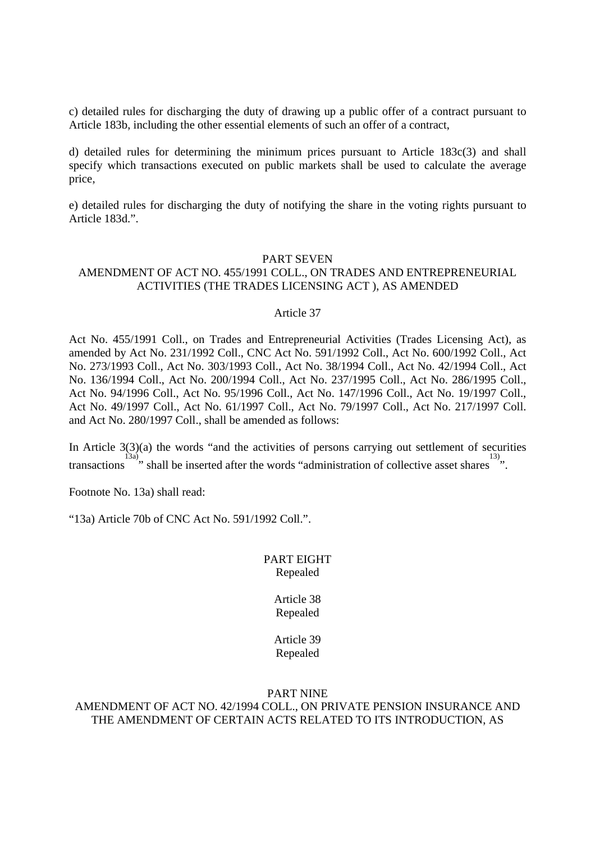c) detailed rules for discharging the duty of drawing up a public offer of a contract pursuant to Article 183b, including the other essential elements of such an offer of a contract,

d) detailed rules for determining the minimum prices pursuant to Article 183c(3) and shall specify which transactions executed on public markets shall be used to calculate the average price,

e) detailed rules for discharging the duty of notifying the share in the voting rights pursuant to Article 183d.".

#### PART SEVEN

### AMENDMENT OF ACT NO. 455/1991 COLL., ON TRADES AND ENTREPRENEURIAL ACTIVITIES (THE TRADES LICENSING ACT ), AS AMENDED

#### Article 37

Act No. 455/1991 Coll., on Trades and Entrepreneurial Activities (Trades Licensing Act), as amended by Act No. 231/1992 Coll., CNC Act No. 591/1992 Coll., Act No. 600/1992 Coll., Act No. 273/1993 Coll., Act No. 303/1993 Coll., Act No. 38/1994 Coll., Act No. 42/1994 Coll., Act No. 136/1994 Coll., Act No. 200/1994 Coll., Act No. 237/1995 Coll., Act No. 286/1995 Coll., Act No. 94/1996 Coll., Act No. 95/1996 Coll., Act No. 147/1996 Coll., Act No. 19/1997 Coll., Act No. 49/1997 Coll., Act No. 61/1997 Coll., Act No. 79/1997 Coll., Act No. 217/1997 Coll. and Act No. 280/1997 Coll., shall be amended as follows:

In Article  $3(3)(a)$  the words "and the activities of persons carrying out settlement of securities transactions <sup>13a)</sup>, shall be inserted after the words "administration of collective asset shares <sup>13</sup> ".

Footnote No. 13a) shall read:

"13a) Article 70b of CNC Act No. 591/1992 Coll.".

#### PART EIGHT Repealed

#### Article 38 Repealed

# Article 39 Repealed

#### PART NINE AMENDMENT OF ACT NO. 42/1994 COLL., ON PRIVATE PENSION INSURANCE AND THE AMENDMENT OF CERTAIN ACTS RELATED TO ITS INTRODUCTION, AS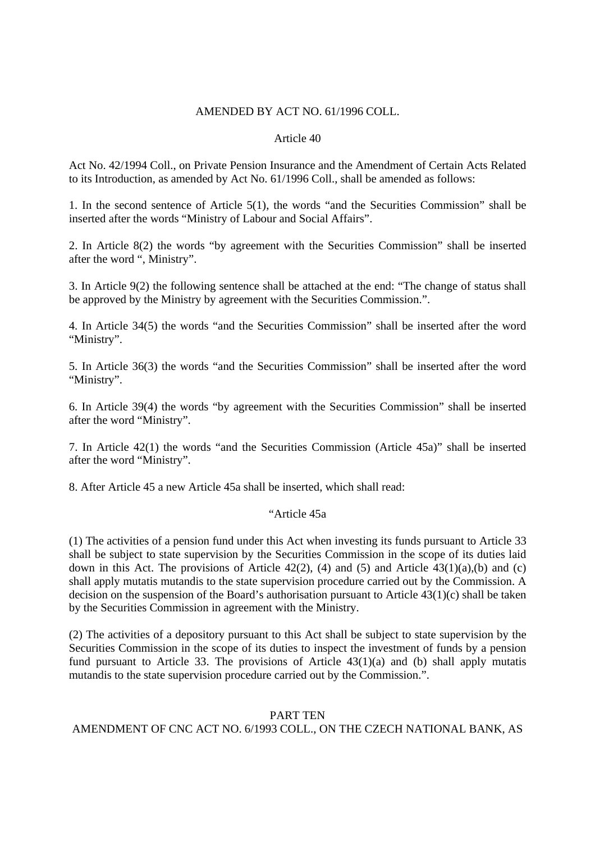#### AMENDED BY ACT NO. 61/1996 COLL.

#### Article 40

Act No. 42/1994 Coll., on Private Pension Insurance and the Amendment of Certain Acts Related to its Introduction, as amended by Act No. 61/1996 Coll., shall be amended as follows:

1. In the second sentence of Article 5(1), the words "and the Securities Commission" shall be inserted after the words "Ministry of Labour and Social Affairs".

2. In Article 8(2) the words "by agreement with the Securities Commission" shall be inserted after the word ", Ministry".

3. In Article 9(2) the following sentence shall be attached at the end: "The change of status shall be approved by the Ministry by agreement with the Securities Commission.".

4. In Article 34(5) the words "and the Securities Commission" shall be inserted after the word "Ministry".

5. In Article 36(3) the words "and the Securities Commission" shall be inserted after the word "Ministry".

6. In Article 39(4) the words "by agreement with the Securities Commission" shall be inserted after the word "Ministry".

7. In Article 42(1) the words "and the Securities Commission (Article 45a)" shall be inserted after the word "Ministry".

8. After Article 45 a new Article 45a shall be inserted, which shall read:

# "Article 45a

(1) The activities of a pension fund under this Act when investing its funds pursuant to Article 33 shall be subject to state supervision by the Securities Commission in the scope of its duties laid down in this Act. The provisions of Article 42(2), (4) and (5) and Article 43(1)(a),(b) and (c) shall apply mutatis mutandis to the state supervision procedure carried out by the Commission. A decision on the suspension of the Board's authorisation pursuant to Article 43(1)(c) shall be taken by the Securities Commission in agreement with the Ministry.

(2) The activities of a depository pursuant to this Act shall be subject to state supervision by the Securities Commission in the scope of its duties to inspect the investment of funds by a pension fund pursuant to Article 33. The provisions of Article 43(1)(a) and (b) shall apply mutatis mutandis to the state supervision procedure carried out by the Commission.".

#### PART TEN

# AMENDMENT OF CNC ACT NO. 6/1993 COLL., ON THE CZECH NATIONAL BANK, AS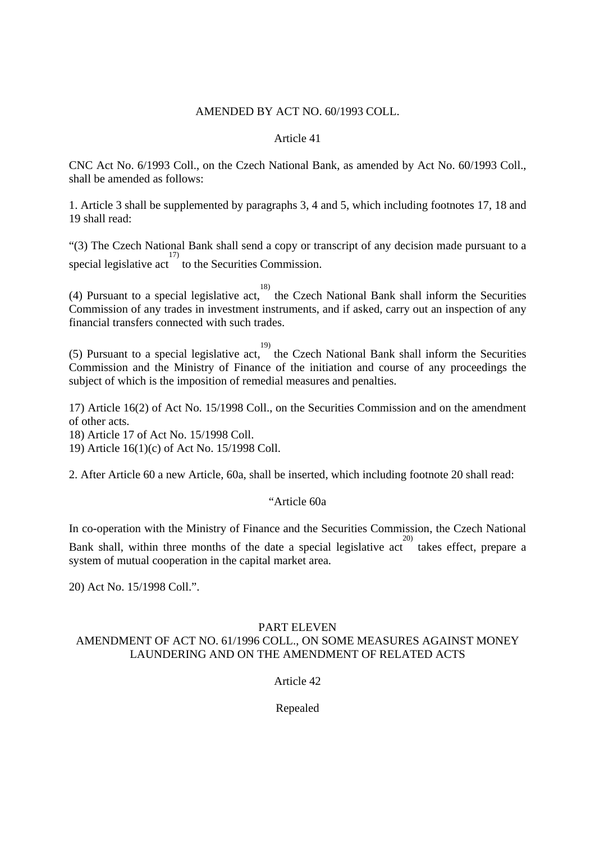### AMENDED BY ACT NO. 60/1993 COLL.

### Article 41

CNC Act No. 6/1993 Coll., on the Czech National Bank, as amended by Act No. 60/1993 Coll., shall be amended as follows:

1. Article 3 shall be supplemented by paragraphs 3, 4 and 5, which including footnotes 17, 18 and 19 shall read:

"(3) The Czech National Bank shall send a copy or transcript of any decision made pursuant to a special legislative act  $\frac{17}{17}$  to the Securities Commission.

(4) Pursuant to a special legislative act, 18) the Czech National Bank shall inform the Securities Commission of any trades in investment instruments, and if asked, carry out an inspection of any financial transfers connected with such trades.

(5) Pursuant to a special legislative act, the Czech National Bank shall inform the Securities Commission and the Ministry of Finance of the initiation and course of any proceedings the subject of which is the imposition of remedial measures and penalties.

17) Article 16(2) of Act No. 15/1998 Coll., on the Securities Commission and on the amendment of other acts.

18) Article 17 of Act No. 15/1998 Coll.

19) Article 16(1)(c) of Act No. 15/1998 Coll.

2. After Article 60 a new Article, 60a, shall be inserted, which including footnote 20 shall read:

# "Article 60a

In co-operation with the Ministry of Finance and the Securities Commission, the Czech National Bank shall, within three months of the date a special legislative act takes effect, prepare a system of mutual cooperation in the capital market area.

20) Act No. 15/1998 Coll.".

# PART ELEVEN

# AMENDMENT OF ACT NO. 61/1996 COLL., ON SOME MEASURES AGAINST MONEY LAUNDERING AND ON THE AMENDMENT OF RELATED ACTS

Article 42

Repealed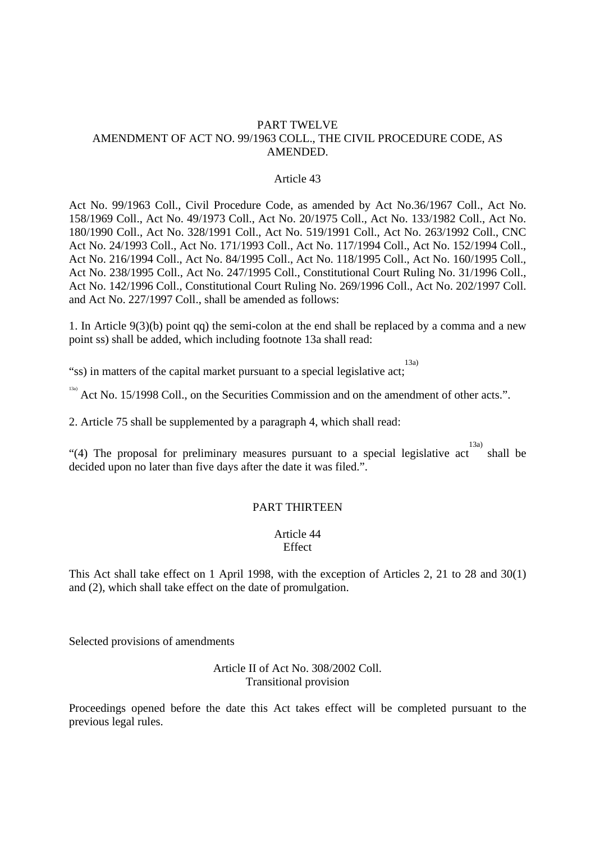#### PART TWELVE AMENDMENT OF ACT NO. 99/1963 COLL., THE CIVIL PROCEDURE CODE, AS AMENDED.

#### Article 43

Act No. 99/1963 Coll., Civil Procedure Code, as amended by Act No.36/1967 Coll., Act No. 158/1969 Coll., Act No. 49/1973 Coll., Act No. 20/1975 Coll., Act No. 133/1982 Coll., Act No. 180/1990 Coll., Act No. 328/1991 Coll., Act No. 519/1991 Coll., Act No. 263/1992 Coll., CNC Act No. 24/1993 Coll., Act No. 171/1993 Coll., Act No. 117/1994 Coll., Act No. 152/1994 Coll., Act No. 216/1994 Coll., Act No. 84/1995 Coll., Act No. 118/1995 Coll., Act No. 160/1995 Coll., Act No. 238/1995 Coll., Act No. 247/1995 Coll., Constitutional Court Ruling No. 31/1996 Coll., Act No. 142/1996 Coll., Constitutional Court Ruling No. 269/1996 Coll., Act No. 202/1997 Coll. and Act No. 227/1997 Coll., shall be amended as follows:

1. In Article 9(3)(b) point qq) the semi-colon at the end shall be replaced by a comma and a new point ss) shall be added, which including footnote 13a shall read:

"ss) in matters of the capital market pursuant to a special legislative act; 13a)

 $^{13a)}$  Act No. 15/1998 Coll., on the Securities Commission and on the amendment of other acts.".

2. Article 75 shall be supplemented by a paragraph 4, which shall read:

"(4) The proposal for preliminary measures pursuant to a special legislative act shall be 13a) decided upon no later than five days after the date it was filed.".

#### PART THIRTEEN

Article 44 **Effect** 

This Act shall take effect on 1 April 1998, with the exception of Articles 2, 21 to 28 and 30(1) and (2), which shall take effect on the date of promulgation.

Selected provisions of amendments

Article II of Act No. 308/2002 Coll. Transitional provision

Proceedings opened before the date this Act takes effect will be completed pursuant to the previous legal rules.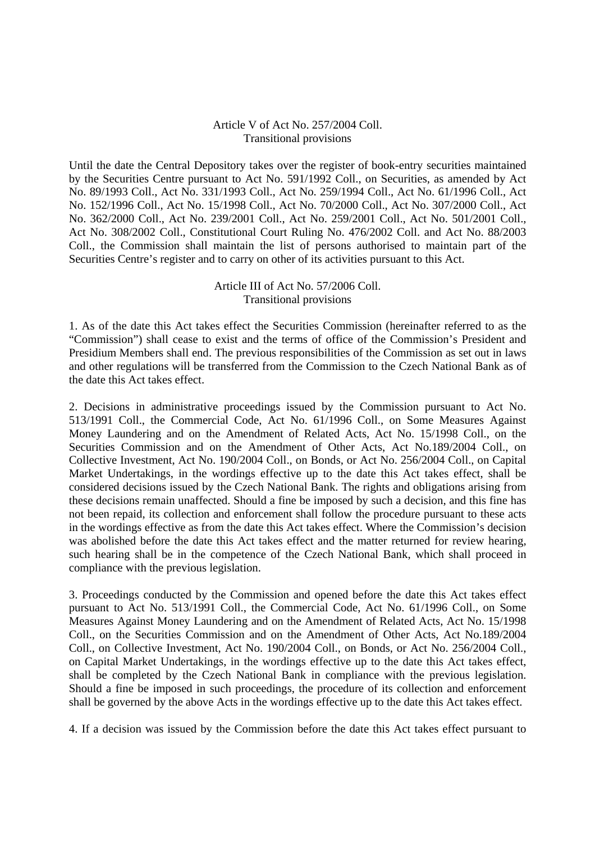#### Article V of Act No. 257/2004 Coll. Transitional provisions

Until the date the Central Depository takes over the register of book-entry securities maintained by the Securities Centre pursuant to Act No. 591/1992 Coll., on Securities, as amended by Act No. 89/1993 Coll., Act No. 331/1993 Coll., Act No. 259/1994 Coll., Act No. 61/1996 Coll., Act No. 152/1996 Coll., Act No. 15/1998 Coll., Act No. 70/2000 Coll., Act No. 307/2000 Coll., Act No. 362/2000 Coll., Act No. 239/2001 Coll., Act No. 259/2001 Coll., Act No. 501/2001 Coll., Act No. 308/2002 Coll., Constitutional Court Ruling No. 476/2002 Coll. and Act No. 88/2003 Coll., the Commission shall maintain the list of persons authorised to maintain part of the Securities Centre's register and to carry on other of its activities pursuant to this Act.

#### Article III of Act No. 57/2006 Coll. Transitional provisions

1. As of the date this Act takes effect the Securities Commission (hereinafter referred to as the "Commission") shall cease to exist and the terms of office of the Commission's President and Presidium Members shall end. The previous responsibilities of the Commission as set out in laws and other regulations will be transferred from the Commission to the Czech National Bank as of the date this Act takes effect.

2. Decisions in administrative proceedings issued by the Commission pursuant to Act No. 513/1991 Coll., the Commercial Code, Act No. 61/1996 Coll., on Some Measures Against Money Laundering and on the Amendment of Related Acts, Act No. 15/1998 Coll., on the Securities Commission and on the Amendment of Other Acts, Act No.189/2004 Coll., on Collective Investment, Act No. 190/2004 Coll., on Bonds, or Act No. 256/2004 Coll., on Capital Market Undertakings, in the wordings effective up to the date this Act takes effect, shall be considered decisions issued by the Czech National Bank. The rights and obligations arising from these decisions remain unaffected. Should a fine be imposed by such a decision, and this fine has not been repaid, its collection and enforcement shall follow the procedure pursuant to these acts in the wordings effective as from the date this Act takes effect. Where the Commission's decision was abolished before the date this Act takes effect and the matter returned for review hearing, such hearing shall be in the competence of the Czech National Bank, which shall proceed in compliance with the previous legislation.

3. Proceedings conducted by the Commission and opened before the date this Act takes effect pursuant to Act No. 513/1991 Coll., the Commercial Code, Act No. 61/1996 Coll., on Some Measures Against Money Laundering and on the Amendment of Related Acts, Act No. 15/1998 Coll., on the Securities Commission and on the Amendment of Other Acts, Act No.189/2004 Coll., on Collective Investment, Act No. 190/2004 Coll., on Bonds, or Act No. 256/2004 Coll., on Capital Market Undertakings, in the wordings effective up to the date this Act takes effect, shall be completed by the Czech National Bank in compliance with the previous legislation. Should a fine be imposed in such proceedings, the procedure of its collection and enforcement shall be governed by the above Acts in the wordings effective up to the date this Act takes effect.

4. If a decision was issued by the Commission before the date this Act takes effect pursuant to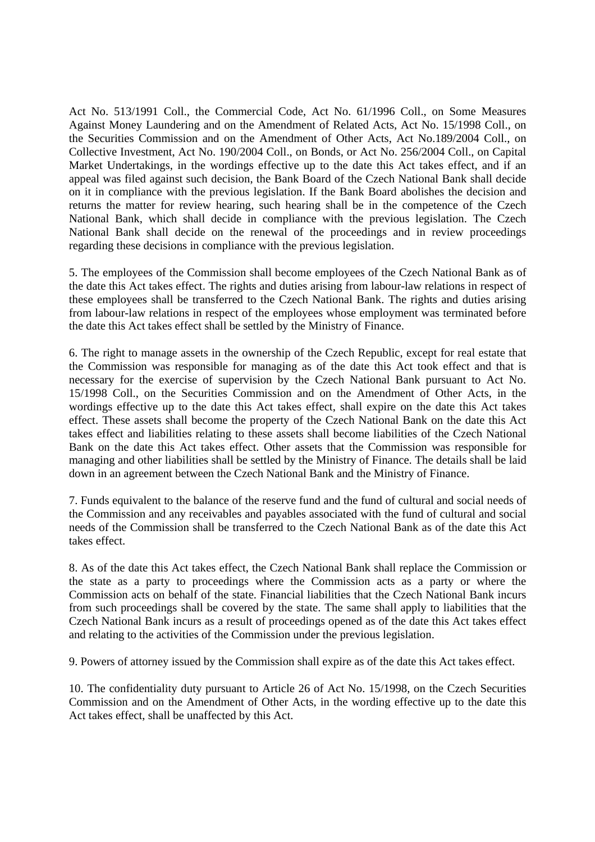Act No. 513/1991 Coll., the Commercial Code, Act No. 61/1996 Coll., on Some Measures Against Money Laundering and on the Amendment of Related Acts, Act No. 15/1998 Coll., on the Securities Commission and on the Amendment of Other Acts, Act No.189/2004 Coll., on Collective Investment, Act No. 190/2004 Coll., on Bonds, or Act No. 256/2004 Coll., on Capital Market Undertakings, in the wordings effective up to the date this Act takes effect, and if an appeal was filed against such decision, the Bank Board of the Czech National Bank shall decide on it in compliance with the previous legislation. If the Bank Board abolishes the decision and returns the matter for review hearing, such hearing shall be in the competence of the Czech National Bank, which shall decide in compliance with the previous legislation. The Czech National Bank shall decide on the renewal of the proceedings and in review proceedings regarding these decisions in compliance with the previous legislation.

5. The employees of the Commission shall become employees of the Czech National Bank as of the date this Act takes effect. The rights and duties arising from labour-law relations in respect of these employees shall be transferred to the Czech National Bank. The rights and duties arising from labour-law relations in respect of the employees whose employment was terminated before the date this Act takes effect shall be settled by the Ministry of Finance.

6. The right to manage assets in the ownership of the Czech Republic, except for real estate that the Commission was responsible for managing as of the date this Act took effect and that is necessary for the exercise of supervision by the Czech National Bank pursuant to Act No. 15/1998 Coll., on the Securities Commission and on the Amendment of Other Acts, in the wordings effective up to the date this Act takes effect, shall expire on the date this Act takes effect. These assets shall become the property of the Czech National Bank on the date this Act takes effect and liabilities relating to these assets shall become liabilities of the Czech National Bank on the date this Act takes effect. Other assets that the Commission was responsible for managing and other liabilities shall be settled by the Ministry of Finance. The details shall be laid down in an agreement between the Czech National Bank and the Ministry of Finance.

7. Funds equivalent to the balance of the reserve fund and the fund of cultural and social needs of the Commission and any receivables and payables associated with the fund of cultural and social needs of the Commission shall be transferred to the Czech National Bank as of the date this Act takes effect.

8. As of the date this Act takes effect, the Czech National Bank shall replace the Commission or the state as a party to proceedings where the Commission acts as a party or where the Commission acts on behalf of the state. Financial liabilities that the Czech National Bank incurs from such proceedings shall be covered by the state. The same shall apply to liabilities that the Czech National Bank incurs as a result of proceedings opened as of the date this Act takes effect and relating to the activities of the Commission under the previous legislation.

9. Powers of attorney issued by the Commission shall expire as of the date this Act takes effect.

10. The confidentiality duty pursuant to Article 26 of Act No. 15/1998, on the Czech Securities Commission and on the Amendment of Other Acts, in the wording effective up to the date this Act takes effect, shall be unaffected by this Act.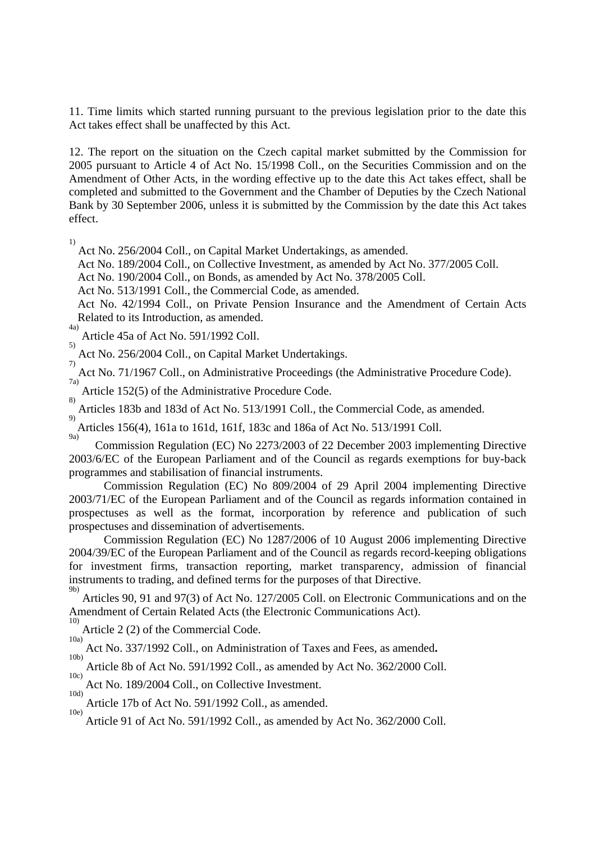11. Time limits which started running pursuant to the previous legislation prior to the date this Act takes effect shall be unaffected by this Act.

12. The report on the situation on the Czech capital market submitted by the Commission for 2005 pursuant to Article 4 of Act No. 15/1998 Coll., on the Securities Commission and on the Amendment of Other Acts, in the wording effective up to the date this Act takes effect, shall be completed and submitted to the Government and the Chamber of Deputies by the Czech National Bank by 30 September 2006, unless it is submitted by the Commission by the date this Act takes effect.

 $\frac{1}{1}$ 

Act No. 256/2004 Coll., on Capital Market Undertakings, as amended.

Act No. 189/2004 Coll., on Collective Investment, as amended by Act No. 377/2005 Coll.

Act No. 190/2004 Coll., on Bonds, as amended by Act No. 378/2005 Coll.

Act No. 513/1991 Coll., the Commercial Code, as amended.

 Act No. 42/1994 Coll., on Private Pension Insurance and the Amendment of Certain Acts Related to its Introduction, as amended.

4a) Article 45a of Act No. 591/1992 Coll. 5)

 Act No. 256/2004 Coll., on Capital Market Undertakings.  $\overline{7}$ 

 Act No. 71/1967 Coll., on Administrative Proceedings (the Administrative Procedure Code). 7a)

 Article 152(5) of the Administrative Procedure Code. 8)

 Articles 183b and 183d of Act No. 513/1991 Coll., the Commercial Code, as amended. 9)

Articles 156(4), 161a to 161d, 161f, 183c and 186a of Act No. 513/1991 Coll. 9a)

 Commission Regulation (EC) No 2273/2003 of 22 December 2003 implementing Directive 2003/6/EC of the European Parliament and of the Council as regards exemptions for buy-back programmes and stabilisation of financial instruments.

 Commission Regulation (EC) No 809/2004 of 29 April 2004 implementing Directive 2003/71/EC of the European Parliament and of the Council as regards information contained in prospectuses as well as the format, incorporation by reference and publication of such prospectuses and dissemination of advertisements.

 Commission Regulation (EC) No 1287/2006 of 10 August 2006 implementing Directive 2004/39/EC of the European Parliament and of the Council as regards record-keeping obligations for investment firms, transaction reporting, market transparency, admission of financial instruments to trading, and defined terms for the purposes of that Directive. 9b)

 Articles 90, 91 and 97(3) of Act No. 127/2005 Coll. on Electronic Communications and on the Amendment of Certain Related Acts (the Electronic Communications Act). 10)

 Article 2 (2) of the Commercial Code. 10a)

Act No. 337/1992 Coll., on Administration of Taxes and Fees, as amended.

 Article 8b of Act No. 591/1992 Coll., as amended by Act No. 362/2000 Coll. 10c)

 Act No. 189/2004 Coll., on Collective Investment. 10d)

 Article 17b of Act No. 591/1992 Coll., as amended. 10e)

Article 91 of Act No. 591/1992 Coll., as amended by Act No. 362/2000 Coll.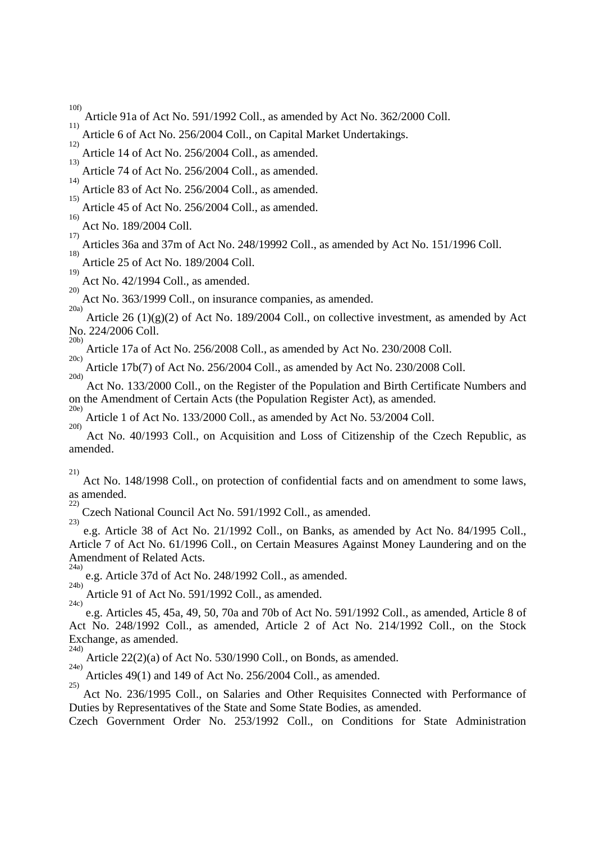$10<sub>f</sub>$ 

- Article 91a of Act No. 591/1992 Coll., as amended by Act No. 362/2000 Coll. 11)
- Article 6 of Act No. 256/2004 Coll., on Capital Market Undertakings.  $12)$
- Article 14 of Act No. 256/2004 Coll., as amended.
- 13) Article 74 of Act No. 256/2004 Coll., as amended.

14) Article 83 of Act No. 256/2004 Coll., as amended.

15) Article 45 of Act No. 256/2004 Coll., as amended. 16)

 Act No. 189/2004 Coll. 17)

Articles 36a and 37m of Act No. 248/19992 Coll., as amended by Act No. 151/1996 Coll.

18) Article 25 of Act No. 189/2004 Coll. 19)

 Act No. 42/1994 Coll., as amended. 20)

 Act No. 363/1999 Coll., on insurance companies, as amended. 20a)

 Article 26 (1)(g)(2) of Act No. 189/2004 Coll., on collective investment, as amended by Act No. 224/2006 Coll. 20b)

 Article 17a of Act No. 256/2008 Coll., as amended by Act No. 230/2008 Coll. 20c)

 Article 17b(7) of Act No. 256/2004 Coll., as amended by Act No. 230/2008 Coll. 20d)

 Act No. 133/2000 Coll., on the Register of the Population and Birth Certificate Numbers and on the Amendment of Certain Acts (the Population Register Act), as amended. 20e)

 Article 1 of Act No. 133/2000 Coll., as amended by Act No. 53/2004 Coll. 20f)

 Act No. 40/1993 Coll., on Acquisition and Loss of Citizenship of the Czech Republic, as amended.

21)

 Act No. 148/1998 Coll., on protection of confidential facts and on amendment to some laws, as amended. 22)

 Czech National Council Act No. 591/1992 Coll., as amended. 23)

 e.g. Article 38 of Act No. 21/1992 Coll., on Banks, as amended by Act No. 84/1995 Coll., Article 7 of Act No. 61/1996 Coll., on Certain Measures Against Money Laundering and on the Amendment of Related Acts. 24a)

 e.g. Article 37d of Act No. 248/1992 Coll., as amended. 24b)

 Article 91 of Act No. 591/1992 Coll., as amended. 24c)

 e.g. Articles 45, 45a, 49, 50, 70a and 70b of Act No. 591/1992 Coll., as amended, Article 8 of Act No. 248/1992 Coll., as amended, Article 2 of Act No. 214/1992 Coll., on the Stock Exchange, as amended. 24d)

 Article 22(2)(a) of Act No. 530/1990 Coll., on Bonds, as amended. 24e)

 Articles 49(1) and 149 of Act No. 256/2004 Coll., as amended. 25)

Act No. 236/1995 Coll., on Salaries and Other Requisites Connected with Performance of Duties by Representatives of the State and Some State Bodies, as amended.

Czech Government Order No. 253/1992 Coll., on Conditions for State Administration